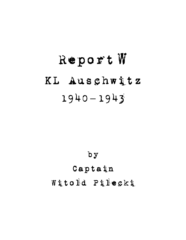# Report W KL Auschwitz 1940 **–** 1943



# Captain Witold Pilecki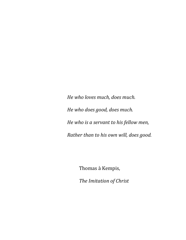*He who loves much, does much. He who does good, does much. He who is a servant to his fellow men, Rather than to his own will, does good.*

Thomas à Kempis,

*The Imitation of Christ*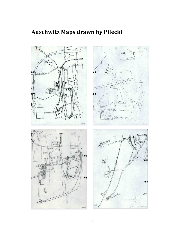# **Auschwitz Maps drawn by Pilecki**

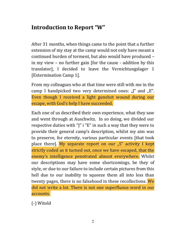# **Introduction to Report "W"**

After 31 months, when things came to the point that a further extension of my stay at the camp would not only have meant a continued burden of torment, but also would have produced – in my view – no further gain [for the cause - addition by this translator], I decided to leave the Vernichtungslager 1 [Extermination Camp 1].

From my colleagues who at that time were still with me in the camp I handpicked two very determined ones:  $J''$  and  $J''$ . Even though I received a light gunshot wound during our escape, with God's help I have succeeded.

Each one of us described their own experience, what they saw and went through at Auschwitz. In so doing, we divided our respective duties with "J" i "E" in such a way that they were to provide their general camp's description, whilst my aim was to preserve, for eternity, various particular events [that took place there]. My separate report on our "S" activity I kept strictly coded as it turned out, once we have escaped, that the enemy's intelligence penetrated almost everywhere. Whilst our descriptions may have some shortcomings, be they of style, or due to our failure to include certain pictures from this hell due to our inability to squeeze them all into less than twenty pages, there is no falsehood in these recollections. We did not write a lot. There is not one superfluous word in our accounts.

(-) Witold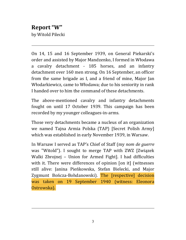# **Report "W"** by Witold Pilecki

On 14, 15 and 16 September 1939, on General Piekarski's order and assisted by Major Mandzenko, I formed in Włodawa a cavalry detachment - 185 horses, and an infantry detachment over 160 men strong. On 16 September, an officer from the same brigade as I, and a friend of mine, Major Jan Włodarkiewicz, came to Włodawa; due to his seniority in rank I handed over to him the command of these detachments.

The above-mentioned cavalry and infantry detachments fought on until 17 October 1939. This campaign has been recorded by my younger colleagues-in-arms.

Those very detachments became a nucleus of an organization we named Tajna Armia Polska (TAP) [Secret Polish Army] which was established in early November 1939, in Warsaw.

In Warsaw I served as TAP's Chief of Staff (my *nom de guerre* was "Witold"). I sought to merge TAP with ZWZ [Związek Walki Zbrojnej – Union for Armed Fight]. I had difficulties with it. There were differences of opinion [on it] (witnesses still alive: Janina Pieńkowska, Stefan Bielecki, and Major Zygmunt Bończa-Bohdanowski). The [respective] decision was taken on 19 September 1940 (witness: Eleonora Ostrowska).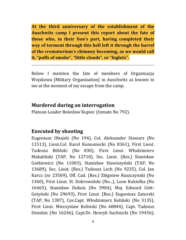**At the third anniversary of the establishment of the Auschwitz camp I present this report about the fate of those who, in their lion's part, having completed their way of torment through this hell left it through the barrel of the crematorium's chimney becoming, as we would call it, "puffs of smoke", "little clouds". or "foglets".** 

Below I mention the fate of members of Organizacja Wojskowa [Military Organization] in Auschwitz as known to me at the moment of my escape from the camp.

### **Murdered during an interrogation**

Platoon Leader Bolesław Kupiec (Inmate No 792).

# **Executed by shooting**

Eugeniusz Obojski (No 194), Col. Aleksander Stawarz (No 11513), Lieut.Col. Karol Kumuniecki (No 8361), First Lieut. Tadeusz Biliński (No 830), First Lieut. Włodzimierz Makaliński (TAP, No 12710), Sec. Lieut. (Res.) Stanisław Gutkiewicz (No 11003), Stanisław Stawiszyński (TAP, No 13689), Sec. Lieut. (Res.) Tadeusz Lech (No 9235), Col. Jan Karcz (nr 23569), Off. Cad. (Res.) Zbigniew Ruszczynski (No 1360), First Lieut. St. Dobrowolski (No...), Leon Kukiełka (No 16465), Stanisław Dubois (No 3904), Maj. Edward Gött-Getyński (No 29693), First Lieut. (Res.) Eugeniusz Zaturski (TAP, No 1387), Cav.Capt. Włodzimierz Koliński (No 3135), First Lieut. Mieczyslaw Kolinski (No 68844), Capt. Tadeusz Dziedzic (No 16246), Capt.Dr. Henryk Suchnicki (No 19456),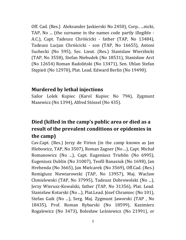Off. Cad. (Res.) Aleksander Jaskierski No 2450), Corp.. ...nicki, TAP, No ... (the surname in the names code partly illegible - A.C.), Capt. Tadeusz Chróścicki - father (TAP, No 13484), Tadeusz Lucjan Chróścicki - son (TAP, No 16655), Antoni Suchecki (No 595), Sec. Lieut. (Res.) Stanislaw Wierzbicki (TAP, No 3558), Stefan Niebudek (No 18531), Stanisław Arct (No 12654) Roman Radoliński (No 13471), Sen. Uhlan Stefan Stępień (No 12970), Plat. Lead. Edward Berlin (No 19490).

### **Murdered by lethal injections**

Sailor Lolek Kupiec (Karol Kupiec No 794), Zygmunt Masewicz (No 1394), Alfred Stössel (No 435).

# **Died (killed in the camp's public area or died as a result of the prevalent conditions or epidemies in the camp)**

Cav.Capt. (Res.) Jerzy de Virion (in the camp known as Jan Hlebowicz, TAP, No 3507), Roman Zagner (No ...), Capt. Michał Romanowicz (No ...), Capt. Eugeniusz Trieblin (No 6995), Eugeniusz Dublin (No 31007), Teofil Banasiuk (No 1698), Jan Hrebenda (No 3665), Jan Mielcarek (No 3569), Off.Cad. (Res.) Remigiusz Niewiarowski (TAP, No 13957), Maj. Waclaw Chmielewski (TAP, No 37995), Tadeusz Dobrowolski (No ...), Jerzy Wierusz-Kowalski, father (TAP, No 31356), Plat. Lead. Stanisław Kotarski (No ...), Plat.Lead. Józef Chramiec (No 101), Stefan Gaik (No ...), Serg. Maj. Zygmunt Jaworski (TAP , No 18435), Prof. Roman Rybarski (No 18599), Kazimierz Rogalewicz (No 3473), Bolesław Leśniewicz (No 21991), or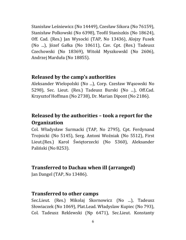Stanisław Leśniewicz (No 14449), Czesław Sikora (No 76159), Stanisław Polkowski (No 6398), Teofil Staniszkis (No 18624), Off. Cad. (Res.) Jan Wysocki (TAP, No 13436), Alojzy Fusek (No ...), Józef Gałka (No 10611), Cav. Cpt. (Res.) Tadeusz Czechowski (No 18369), Witold Myszkowskl (No 2606), Andrzej Marduła (No 18855).

#### **Released by the camp's authorities**

Aleksander Wielopolski (No ...), Corp. Czesław Wąsowski No 5298), Sec. Lieut. (Res.) Tadeusz Burski (No ...), Off.Cad. Krzysztof Hoffman (No 2738), Dr. Marian Dipont (No 2186).

# **Released by the authorities – took a report for the Organization**

Col. Władysław Surmacki (TAP, No 2795), Cpt. Ferdynand Trojnicki (No 5145), Serg. Antoni Woźniak (No 5512), First Lieut.(Res.) Karol Świętorzecki (No 5360), Aleksander Paliński (No 8253).

# **Transferred to Dachau when ill (arranged)**

Jan Dangel (TAP, No 13486).

# **Transferred to other camps**

Sec.Lieut. (Res.) Mikolaj Skornowicz (No ...), Tadeusz Słowiaczek (No 1069), Plat.Lead. Władyslaw Kupiec (No 793), Col. Tadeusz Reklewski (Np 6471), Sec.Lieut. Konstanty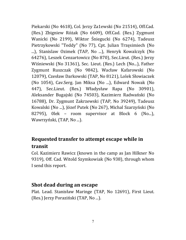Piekarski (No 4618), Col. Jerzy Za1ewski (No 21514), Off.Cad. (Res.) Zbigniew Różak (No 6609), Off.Cad. (Res.) Zygmunt Wanicki (No 2199), Wiktor Śniegucki (No 6274), Tadeusz Pietrzykowski "Teddy" (No 77), Cpt. Julian Trzęsimiech (No ...), Stanislaw Ozimek (TAP, No ...), Henryk Kowalczyk (No 64276), Leszek Cenzartowicz (No 870), Sec.Lieut. (Res.) Jerzy Wiśniewski (No 31361), Sec. Lieut. (Res.) Lech (No...), Father Zygmunt Ruszczak (No 9842), Wacław Kafarowski (No 12079), Czesław Darkowski (TAP, No 8121), Lolek Słowiaczek (No 1054), Cav.Serg. Jan Miksa (No ...), Edward Nowak (No 447), Sec.Lieut. (Res.) Władysław Rapa (No 30901), Aleksander Bugajski (No 74503), Kazimierz Radwański (No 16788), Dr. Zygmunt Zakrzewski (TAP, No 39249), Tadeusz Kowalski (No ...), Józef Putek (No 267), Michal Szarzyński (No 82795), 0lek – room supervisor at Block 6 (No...), Wawrzyński, (TAP, No ...).

# **Requested transfer to attempt escape while in transit**

Col. Kazimierz Rawicz (known in the camp as Jan Hilkner No 9319), Off. Cad. Witold Szymkowiak (No 938), through whom I send this report.

### **Shot dead during an escape**

Plat. Lead. Stanisław Maringe (TAP, No 12691), First Lieut. (Res.) Jerzy Poraziński (TAP, No ...).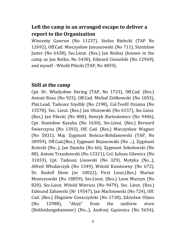# **Left the camp in an arranged escape to deliver a report to the Organization**

Wincenty Gawron (No 11237), Stefan Bielecki (TAP No 12692), Off.Cad. Mieczysław Januszewski (No 711), Stanisław Jaster (No 6438), Sec.Lieut. (Res.) Jan Redzej (known in the camp as Jan Retko, No 5430), Edward Ciesielski (No 12969), and myself - Witold Pilecki (TAP, No 4859).

### **Still at the camp**

Cpt. Dr. Władysław Dering (TAP, No 1723), Off.Cad. (Res.) Antoni Rosa (No 923), Off.Cad. Michał Ziółkowski (No 1055), Plat.Lead. Tadeusz Szydlik (No 2198), Col.Teofil Dziama (No 13578), Sec. Lieut. (Res.) Jan Olszowski (No 6157), Sec.Lieut. (Res.) Jan Pilecki (No 808), Henryk Bartosiewicz (No 9406), Cpt. Stanisław Kazuba (No 1630), Sec.Lieut. (Res.) Bernard Świerczyna (No 1393), Off. Cad. (Res.) Mieczysław Wagner (No 5831), Maj. Zygmunt Bończa-Bohdanowski (TAP, No 30959), Off.Cad.(Res.) Zygmunt Bujanowski (No ...), Zygmunt Kotecki (No...), Jan Zięmba (No 66), Zygmunt Sobolewski (No 88), Antom Trzaskowski (No 13321), Col. Juliusz Gilewicz (No 31033), Cpt. Tadeusz Lisowski (No 329), Motyka (No...), Alfred Włodarczyk (No 1349), Witold Kosztowny (No 672), Dr. Rudolf Diem (nr 10022), First Lieut.(Res.) Marian Moniczewski (No 18859), Sec.Lieut. (Res.) Leon Murzyn (No 820), Sec.Lieut. Witold Wierusz (No 9479), Sec. Lieut. (Res.) Edmund Zabawski (Nr 19547), Jan Machnowski (No 724), Off. Cad. (Res.) Zbigniew Goszczyński (No 1728), Zdzisław Uliasz (No 12988), "Alojz" from the uniform store (Bekleidungskammer) (No...), Andrzej Gąsienica (No 5654),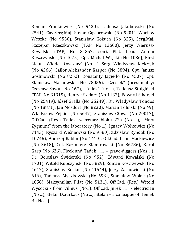Roman Frankiewicz (No 9430), Tadeusz Jakubowski (No 2541), Cav.Serg.Maj. Stefan Gąsiorowski (No 9201), Wacław Weszke (No 9530), Stanisław Kożuch (No 325), Serg.Maj. Szczepan Rzeczkowski (TAP, No 13600), Jerzy Wierusz-Kowalski (TAP, No 31357, son), Plat. Lead. Antoni Koszczynski (No 4075), Cpt. Michał Więcki (No 1036), First Lieut. "Włodek Owczarz" (No ...), Serg. Władysław Kielczyk (No 4266), Sailor Aleksander Kasper (No 3894), Cpt. Janusz Goślinowski (No 8252), Konstanty Jagiełło (No 4507), Cpt. Stanisław Machowski (No 78056), "Czesiek" (presumably: Czesław Sowul, No 167), "Tadek" (nr ...), Tadeusz Stulgiński (TAP, No 31315), Henryk Szklarz (No 1132), Edward Sikorski (No 25419), Józef Gralla (No 25249), Dr. Władysław Tondos (No 18871), Jan Mosdorf (No 8230), Marian Toliński (No 49), Władysław Fejkiel (No 5647), Stanisław Głowa (No 20017), Off.Cad. (Res.) Tadek, sekretarz bloku 22a (No ...), "Mały Zygmunt" from the laboratory (No ...), Ignacy Wołkowicz (No 7143), Ryszard Wiśniewski (No 9580), Zdzisław Ryndak (No 10746), Andrzej Rablin (No 1410), Off.Cad. Leon Mackiewicz (No 3618), Col. Kazimierz Stamirowski (No 86786), Karol Karp (No  $626$ ), Ficek and Tadek  $\ldots$  – grave-diggers (Nos  $\ldots$ ), Dr. Bolesław Świderski (No 952), Edward Kowalski (No 1701), Witold Kupczyński (No 3829), Roman Kostrzewski (No 4612), Stanisław Kocjan (No 11544), Jerzy Żarnowiecki (No 616), Tadeusz Myszkowski (No 593), Stanisław Wolak (No 1058), Maksymilian Piłat (No 5131), Off.Cad. (Res.) Witold Wysocki - from Vilnius (No...), Off.Cad. Jurek ..... - electrician (No ...), Stefan Dziurkacz (No ...), Stefan – a colleague of Heniek B. (No ...).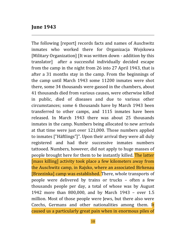#### **June 1943**

The following [report] records facts and names of Auschwitz inmates who worked there for Organizacja Wojskowa [Military Organization] [It was written down - addition by this translator] after a successful individually decided escape from the camp in the night from 26 into 27 April 1943, that is after a 31 months stay in the camp. From the beginnings of the camp until March 1943 some 11200 inmates were shot there, some 34 thousands were gassed in the chambers, about 41 thousands died from various causes, were otherwise killed in public, died of diseases and due to various other circumstances; some 6 thousands have by March 1943 been transferred to other camps, and 1115 inmates have been released. In March 1943 there was about 25 thousands inmates in the camp. Numbers being allocated to new arrivals at that time were just over 121,000. Those numbers applied to inmates ["Häftlings"]". Upon their arrival they were all duly registered and had their successive inmates numbers tattooed. Numbers, however, did not apply to huge masses of people brought here for them to be instantly killed. The latter [mass killing] activity took place a few kilometers away from the Auschwitz camp, in Rajsko, where an associated Birkenau [Brzezinka] camp was established. There, whole transports of people were delivered by trains or trucks – often a few thousands people per day, a total of whose was by August 1942 more than 800,000, and by March 1943 – over 1.5 million. Most of those people were Jews, but there also were Czechs, Germans and other nationalities among them. It caused us a particularly great pain when in enormous piles of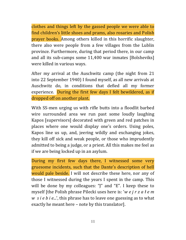clothes and things left by the gassed people we were able to find children's little shoes and prams, also rosaries and Polish prayer books. Among others killed in this horrific slaughter, there also were people from a few villages from the Lublin province. Furthermore, during that period there, in our camp and all its sub-camps some 11,400 war inmates [Bolsheviks] were killed in various ways.

After my arrival at the Auschwitz camp (the night from 21 into 22 September 1940) I found myself, as all new arrivals at Auschwitz do, in conditions that defied all my former experience. During the first few days I felt bewildered, as if dropped off on another plant.

With SS-men urging us with rifle butts into a floodlit barbed wire surrounded area we run past some loudly laughing Kapos [supervisors] decorated with green and red patches in places where one would display one's orders. Using poles, Kapos line us up, and, jeering wildly and exchanging jokes, they kill off sick and weak people, or those who imprudently admitted to being a judge, or a priest. All this makes me feel as if we are being locked up in an asylum.

During my first few days there, I witnessed some very gruesome incidents, such that the Dante's description of hell would pale beside. I will not describe these here, nor any of those I witnessed during the years I spent in the camp. This will be done by my colleagues: "J" and "E". I keep these to myself [the Polish phrase Pilecki uses here is: '*w e j r z a ł e m w s i e b i e*...', this phrase has to leave one guessing as to what exactly he meant here – note by this translator].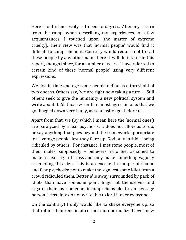Here – out of necessity – I need to digress. After my return from the camp, when describing my experiences to a few acquaintances, I touched upon [the matter of extreme cruelty]. Their view was that 'normal people' would find it difficult to comprehend it. Courtesy would require not to call these people by any other name here (I will do it later in this report, though) since, for a number of years, I have referred to certain kind of these 'normal people' using very different expressions.

We live in time and age some people define as a threshold of two epochs. Others say, 'we are right now taking a turn...'. Still others seek to give the humanity a new political system and write about it. All those wiser than most agree on one: that we got bogged down very badly, as scholastics got before us.

Apart from that, we (by which I mean here the 'normal ones') are paralyzed by a fear psychosis. It does not allow us to do, or say anything that goes beyond the framework appropriate for 'average people' lest they flare up. God only forbid – being ridiculed by others. For instance, I met some people, most of them males, supposedly – believers, who feel ashamed to make a clear sign of cross and only make something vaguely resembling this sign. This is an excellent example of shame and fear psychosis: not to make the sign lest some idiot from a crowd ridiculed them. Better idle away surrounded by pack of idiots than have someone point finger at themselves and regard them as someone incomprehensible to an average person. I certainly do not write this to lord it over everyone.

On the contrary! I only would like to shake everyone up, so that rather than remain at certain mob-normalized level, new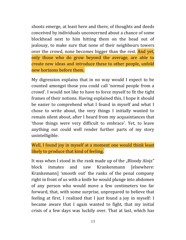shoots emerge, at least here and there, of thoughts and deeds conceived by individuals unconcerned about a chance of some blockhead next to him hitting them on the head out of jealousy, to make sure that none of their neighbours towers over the crowd, none becomes bigger than the rest. And yet, only those who do grow beyond the average, are able to create new ideas and introduce these to other people, unfold new horizons before them.

My digression explains that in no way would I expect to be counted amongst those you could call 'normal people from a crowd'. I would not like to have to force myself to fit the tight frames of their notions. Having explained this, I hope it should be easier to comprehend what I found in myself and what I chose to write about, the very things I initially wanted to remain silent about, after I heard from my acquaintances that 'those things were very difficult to embrace'. Yet, to leave anything out could well render further parts of my story unintelligible.

Well, I found joy in myself at a moment one would think least likely to produce that kind of feeling.

It was when I stood in the rank made up of the "Bloody Alojz" block inmates and saw Krankenmann [elsewhere: Krankemann] 'smooth out' the ranks of the penal company right in front of us with a knife he would plunge into abdomen of any person who would move a few centimeters too far forward, that, with some surprise, unprepared to believe that feeling at first, I realized that I just found a joy in myself: I became aware that I again wanted to fight, that my initial crisis of a few days was luckily over. That at last, which has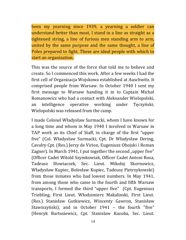been my yearning since 1939, a yearning a soldier can understand better than most, I stand in a line as straight as a tightened string, a line of furious men standing arm to arm, united by the same purpose and the same thought, a line of Poles prepared to fight. These are ideal people with which to start an organization.

This was the source of the force that told me to believe and create. So I commenced this work. After a few weeks I had the first cell of Organizacja Wojskowa established at Auschwitz. It comprised people from Warsaw. In October 1940 I sent my first message to Warsaw handing it in to Captain Michał Romanowicz who had a contact with Aleksander Wielopolski, an intelligence operative working under Tęczyński; Wielopolski was released from the camp.

I made Colonel Władysław Surmacki, whom I have known for a long time and whom in May 1940 I involved in Warsaw in TAP work as its Chief of Staff, in charge of the first "upper five" (Col. Władysław Surmacki, Cpt. Dr Władysław Dering, Cavalry Cpt. (Res.) Jerzy de Virion, Eugeniusz Obojski i Roman Zagner). In March 1941, I put together the second "upper five" (Officer Cadet Witold Szymkowiak, Officer Cadet Antoni Rosa, Tadeusz Słowiaczek, Sec. Lieut. Mikołaj Skornowicz, Władysław Kupiec, Bolesław Kupiec, Tadeusz Pietrzykowski) from those inmates who had lowest numbers. In May 1941, from among those who came in the fourth and fifth Warsaw transports, I formed the third "upper five" (Cpt. Eugeniusz Triebling, First Lieut. Włodzimierz Makalinski, First Lieut. (Res.) Stanisław Gutkiewicz, Wincenty Gawron, Stanisław Stawiszyński), and in October 1941 – the fourth "five" (Henryk Bartosiewicz, Cpt. Stanislaw Kazuba, Sec. Lieut.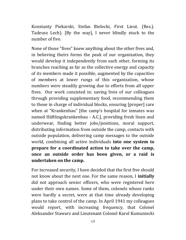Konstanty Piekarski, Stefan Bielecki, First Lieut. (Res.). Tadeusz Lech). [By the way], I never blindly stuck to the number of five.

None of those "fives" knew anything about the other fives and, in believing theirs forms the peak of our organization, they would develop it independently from each other, forming its branches reaching as far as the collective energy and capacity of its members made it possible, augmented by the capacities of members at lower rungs of this organization, whose numbers were steadily growing due to efforts from all upper fives. Our work consisted in: saving lives of our colleagues through providing supplementary food, recommending them to those in charge of individual blocks, ensuring [proper] care when at "Krankenbau" [the camp's hospital for inmates was named Häftlingskrankenbau - A.C.], providing fresh linen and underwear, finding better jobs/positions, moral support, distributing information from outside the camp, contacts with outside population, delivering camp messages to the outside world, combining all active individuals **into one system to prepare for a coordinated action to take over the camp, once an outside order has been given, or a raid is undertaken on the camp.** 

For increased security, I have decided that the first five should not know about the next one. For the same reason, I **initially**  did not approach senior officers, who were registered here under their own names. Some of them, colonels whose ranks were hardly a secret, were at that time already developing plans to take control of the camp. In April 1941 my colleagues would report, with increasing frequency, that Colonel Aleksander Stawarz and Lieutenant Colonel Karol Kumuniecki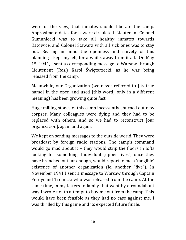were of the view, that inmates should liberate the camp. Approximate dates for it were circulated. Lieutenant Colonel Kumuniecki was to take all healthy inmates towards Katowice, and Colonel Stawarz with all sick ones was to stay put. Bearing in mind the openness and naivety of this planning I kept myself, for a while, away from it all. On May 15, 1941, I sent a corresponding message to Warsaw through Lieutenent (Res.) Karol Świętorzecki, as he was being released from the camp.

Meanwhile, our Organization (we never referred to [its true name] in the open and used [this word] only in a different meaning) has been growing quite fast.

Huge milling stones of this camp incessantly churned out new corpses. Many colleagues were dying and they had to be replaced with others. And so we had to reconstruct [our organization], again and again.

We kept on sending messages to the outside world. They were broadcast by foreign radio stations. The camp's command would go mad about it – they would strip the floors in lofts looking for something. Individual "upper fives", once they have branched out far enough, would report to me a 'tangible' existence of another organization (ie, another "five"). In November 1941 I sent a message to Warsaw through Captain Ferdynand Trojnicki who was released from the camp. At the same time, in my letters to family that went by a roundabout way I wrote not to attempt to buy me out from the camp. This would have been feasible as they had no case against me. I was thrilled by this game and its expected future finale.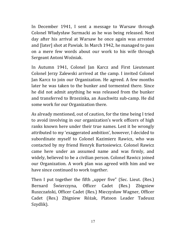In December 1941, I sent a message to Warsaw through Colonel Władysław Surmacki as he was being released. Next day after his arrival at Warsaw he once again was arrested and [later] shot at Pawiak. In March 1942, he managed to pass on a mere few words about our work to his wife through Sergeant Antoni Woźniak.

In Autumn 1941, Colonel Jan Karcz and First Lieutenant Colonel Jerzy Zalewski arrived at the camp. I invited Colonel Jan Karcz to join our Organization. He agreed. A few months later he was taken to the bunker and tormented there. Since he did not admit anything he was released from the bunker and transferred to Brzezinka, an Auschwitz sub-camp. He did some work for our Organization there.

As already mentioned, out of caution, for the time being I tried to avoid involving in our organization's work officers of high ranks known here under their true names. Lest it be wrongly attributed to my 'exaggerated ambition', however, I decided to subordinate myself to Colonel Kazimierz Rawicz, who was contacted by my friend Henryk Bartosiewicz. Colonel Rawicz came here under an assumed name and was firmly, and widely, believed to be a civilian person. Colonel Rawicz joined our Organization. A work plan was agreed with him and we have since continued to work together.

Then I put together the fifth "upper five" (Sec. Lieut. (Res.) Bernard Świerczyna, Officer Cadet (Res.) Zbigniew Ruszczański, Officer Cadet (Res.) Mieczysław Wagner, Officer Cadet (Res.) Zbigniew Różak, Platoon Leader Tadeusz Szydlik).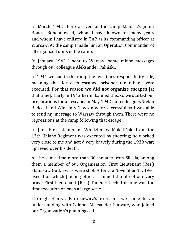In March 1942 there arrived at the camp Major Zygmunt Bończa-Bohdanowski, whom I have known for many years and whom I have enlisted in TAP as its commanding officer at Warsaw. At the camp I made him an Operation Commander of all organized units in the camp.

In January 1942 I sent to Warsaw some minor messages through our colleague Aleksander Paliński.

In 1941 we had in the camp the ten-times-responsibility rule, meaning that for each escaped prisoner ten others were executed. For that reason **we did not organize escapes** [at that time]. Early in 1942 Berlin banned this, so we started our preparations for an escape. In May 1942 our colleagues Stefan Bielecki and Wincenty Gawron were successful so I was able to send my message to Warsaw through them. There were no repressions at the camp following that escape.

In June First Lieutenant Włodzimierz Makaliński from the 13th Uhlans Regiment was executed by shooting; he worked very close to me and acted very bravely during the 1939 war; I grieved over his death.

At the same time more than 80 inmates from Silesia, among them a member of our Organization, First Lieutenant (Res.) Stanisław Gutkiewicz were shot. After the November 11, 1941 execution which [among others] claimed the life of our very brave First Lieutenant (Res.) Tadeusz Lech, this one was the first execution on such a large scale.

Through Henryk Bartosiewicz's exertions we came to an understanding with Colonel Aleksander Stawarz, who joined our Organization's planning cell.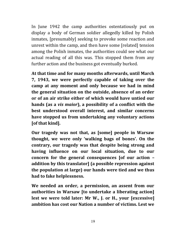In June 1942 the camp authorities ostentatiously put on display a body of German soldier allegedly killed by Polish inmates, [presumably] seeking to provoke some reaction and unrest within the camp, and then have some [related] tension among the Polish inmates, the authorities could see what our actual reading of all this was. This stopped them from any further action and the business got eventually burked.

**At that time and for many months afterwards, until March 7, 1943, we were perfectly capable of taking over the camp at any moment and only because we had in mind the general situation on the outside, absence of an order or of an air strike either of which would have untied our hands (as a** *vis maior***), a possibility of a conflict with the best understood overall interest, and similar concerns have stopped us from undertaking any voluntary actions [of that kind].** 

**Our tragedy was not that, as [some] people in Warsaw thought, we were only 'walking bags of bones'. On the contrary, our tragedy was that despite being strong and having influence on our local situation, due to our concern for the general consequences [of our action – addition by this translator] (a possible repression against the population at large) our hands were tied and we thus had to fake helplessness.** 

**We needed an order, a permission, an assent from our authorities in Warsaw [to undertake a liberating action] lest we were told later: Mr W., J. or H., your [excessive] ambition has cost our Nation a number of victims. Lest we**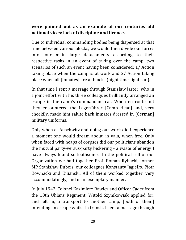#### **were pointed out as an example of our centuries old national vices: lack of discipline and licence.**

Due to individual commanding bodies being dispersed at that time between various blocks, we would then divide our forces into four main large detachments according to their respective tasks in an event of taking over the camp, two scenarios of such an event having been considered: 1/ Action taking place when the camp is at work and 2/ Action taking place when all [inmates] are at blocks (night time, lights on).

In that time I sent a message through Stanisław Jaster, who in a joint effort with his three colleagues brilliantly arranged an escape in the camp's commandant car. When en route out they encountered the Lagerführer [Camp Head] and, very cheekily, made him salute back inmates dressed in [German] military uniforms.

Only when at Auschwitz and doing our work did I experience a moment one would dream about, in vain, when free. Only when faced with heaps of corpses did our politicians abandon the mutual party-versus-party bickering - a waste of energy I have always found so loathsome. In the political cell of our Organization we had together Prof. Roman Rybacki, former MP Stanisław Dubois, our colleagues Konstanty Jagiełło, Piotr Kownacki and Kiliański. All of them worked together, very accommodatingly, and in an exemplary manner.

In July 1942, Colonel Kazimierz Rawicz and Officer Cadet from the 10th Uhlans Regiment, Witold Szymkowiak applied for, and left in, a transport to another camp, [both of them] intending an escape whilst in transit. I sent a message through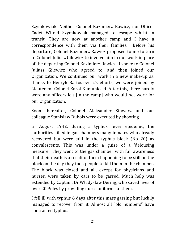Szymkowiak. Neither Colonel Kazimierz Rawicz, nor Officer Cadet Witold Szymkowiak managed to escape whilst in transit. They are now at another camp and I have a correspondence with them via their families. Before his departure, Colonel Kazimierz Rawicz proposed to me to turn to Colonel Juliusz Gilewicz to involve him in our work in place of the departing Colonel Kazimierz Rawicz. I spoke to Colonel Juliusz Gilewicz who agreed to, and then joined our Organization. We continued our work in a new make-up as, thanks to Henryk Bartosiewicz's efforts, we were joined by Lieutenent Colonel Karol Kumuniecki. After this, there hardly were any officers left [in the camp] who would not work for our Organization.

Soon thereafter, Colonel Aleksander Stawarz and our colleague Stanisław Dubois were executed by shooting.

In August 1942, during a typhus fever epidemic, the authorities killed in gas chambers many inmates who already recovered but were still in the typhus block (No 20) as convalescents. This was under a guise of a 'delousing measure'. They went to the gas chamber with full awareness that their death is a result of them happening to be still on the block on the day they took people to kill them in the chamber. The block was closed and all, except for physicians and nurses, were taken by cars to be gassed. Much help was extended by Captain, Dr Władysław Dering, who saved lives of over 20 Poles by providing nurse uniforms to them.

I fell ill with typhus 6 days after this mass gassing but luckily managed to recover from it. Almost all "old numbers" have contracted typhus.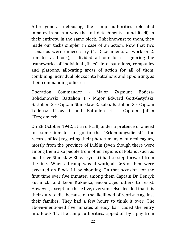After general delousing, the camp authorities relocated inmates in such a way that all detachments found itself, in their entirety, in the same block. Unbeknownst to them, they made our tasks simpler in case of an action. Now that two scenarios were unnecessary (1. Detachments at work or 2. Inmates at block), I divided all our forces, ignoring the frameworks of individual "fives", into battalions, companies and platoons, allocating areas of action for all of them, combining individual blocks into battalions and appointing, as their commanding officers:

Operation Commander - Major Zygmunt Bończa-Bohdanowski, Battalion 1 - Major Edward Gött-Getyński, Battalion 2 - Captain Stanisław Kazuba, Battalion 3 - Captain Tadeusz Lisowski and Battalion 4 - Captain Julian "Trzęsimiech".

On 28 October 1942, at a roll-call, under a pretence of a need for some inmates to go to the "Erkennungsdienst" [the records office] regarding their photos, many of our colleagues, mostly from the province of Lublin (even though there were among them also people from other regions of Poland, such as our brave Stanisław Stawiszyński) had to step forward from the line. When all camp was at work, all 265 of them were executed on Block 11 by shooting. On that occasion, for the first time ever five inmates, among them Captain Dr Henryk Suchnicki and Leon Kukiełka, encouraged others to resist. However, except for these five, everyone else decided that it is their duty to die, because of the likelihood of reprisals against their families. They had a few hours to think it over. The above-mentioned five inmates already barricaded the entry into Block 11. The camp authorities, tipped off by a guy from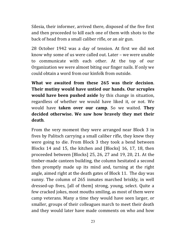Silesia, their informer, arrived there, disposed of the five first and then proceeded to kill each one of them with shots to the back of head from a small caliber rifle, or an air gun.

28 October 1942 was a day of tension. At first we did not know why some of us were called out. Later – we were unable to communicate with each other. At the top of our Organization we were almost biting our finger nails. If only we could obtain a word from our kinfolk from outside.

**What we awaited from these 265 was their decision**. **Their mutiny would have untied our hands. Our scruples would have been pushed aside** by this change in situation, regardless of whether we would have liked it, or not. We would have **taken over our camp**. So we waited. **They decided otherwise. We saw how bravely they met their death**.

From the very moment they were arranged near Block 3 in fives by Palitsch carrying a small caliber rifle, they knew they were going to die. From Block 3 they took a bend between Blocks 14 and 15, the kitchen and [Blocks] 16, 17, 18, then proceeded between [Blocks] 25, 26, 27 and 19, 20, 21. At the timber-made canteen building, the column hesitated a second then promptly made up its mind and, turning at the right angle, aimed right at the death gates of Block 11. The day was sunny. The column of 265 inmates marched briskly, in well dressed-up fives, [all of them] strong, young, select. Quite a few cracked jokes, most mouths smiling, as most of them were camp veterans. Many a time they would have seen larger, or smaller, groups of their colleagues march to meet their death and they would later have made comments on who and how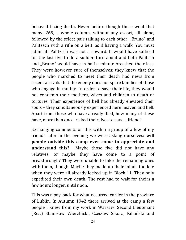behaved facing death. Never before though there went that many, 265, a whole column, without any escort, all alone, followed by the select pair talking to each other: "Bruno" and Palitzsch with a rifle on a belt, as if having a walk. You must admit it: Palitzsch was not a coward. It would have sufficed for the last five to do a sudden turn about and both Palitsch and "Bruno" would have in half a minute breathed their last. They were however sure of themselves: they knew that the people who marched to meet their death had news from recent arrivals that the enemy does not spare families of those who engage in mutiny. In order to save their life, they would not condemn their mothers, wives and children to death or tortures. Their experience of hell has already elevated their souls – they simultaneously experienced here heaven and hell. Apart from those who have already died, how many of these have, more than once, risked their lives to save a friend?

Exchanging comments on this within a group of a few of my friends later in the evening we were asking ourselves: **will people outside this camp ever come to appreciate and understand this?** Maybe those five did not have any relatives, or maybe they have come to a point of breakthrough? They were unable to take the remaining ones with them, though. Maybe they made up their minds too late when they were all already locked up in Block 11. They only expedited their own death. The rest had to wait for theirs a few hours longer, until noon.

This was a pay-back for what occurred earlier in the province of Lublin. In Autumn 1942 there arrived at the camp a few people I knew from my work in Warsaw: Second Lieutenant (Res.) Stanisław Wierzbicki, Czesław Sikora, Kiliański and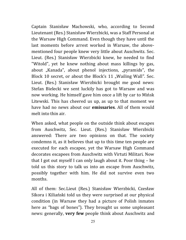Captain Stanisław Machowski, who, according to Second Lieutenant (Res.) Stanisław Wierzbicki, was a Staff Personal at the Warsaw High Command. Even though they have until the last moments before arrest worked in Warsaw, the abovementioned four people knew very little about Auschwitz. Sec. Lieut. (Res.) Stanisław Wierzbicki knew, he needed to find "Witold", yet he knew nothing about mass killings by gas, about "Kanada", about phenol injections, "pyramids", the Block 10 secret, or about the Block's 11 "Wailing Wall". Sec. Lieut. (Res.) Stanisław Wierzbicki brought me good news: Stefan Bielecki we sent luckily has got to Warsaw and was now working. He himself gave him once a lift by car to Mińsk Litewski. This has cheered us up, as up to that moment we have had no news about our **emissaries**. All of them would melt into thin air.

When asked, what people on the outside think about escapes from Auschwitz, Sec. Lieut. (Res.) Stanisław Wierzbicki answered: There are two opinions on that. The society condemns it, as it believes that up to this time ten people are executed for each escapee, yet the Warsaw High Command decorates escapees from Auschwitz with Virtuti Militari. Now that I got out myself I can only laugh about it. Poor thing – he told us this story to talk us into an escape from Auschwitz, possibly together with him. He did not survive even two months.

All of them: Sec.Lieut (Res.) Stanisław Wierzbicki, Czesław Sikora i Kiliański told us they were surprised at our physical condition (in Warsaw they had a picture of Polish inmates here as "bags of bones"). They brought us some unpleasant news: generally, **very few** people think about Auschwitz and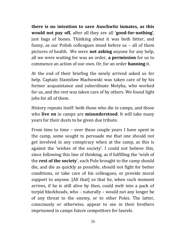**there is no intention to save Auschwitz inmates, as this would not pay off,** after all they are all '**good-for-nothing'**, just bags of bones. Thinking about it was both bitter, and funny, as our Polish colleagues stood before us – all of them pictures of health. We were **not asking** anyone for any help, all we were waiting for was an order, **a permission** for us to commence an action of our own. Or, for an order **banning** it.

At the end of their briefing the newly arrived asked us for help. Captain Stanisław Machowski was taken care of by his former acquaintance and subordinate Motyka, who worked for us, and the rest was taken care of by others. We found light jobs for all of them.

History repeats itself: both those who die in camps, and those who **live on** in camps are **misunderstood**. It will take many years for their dusts to be given due tribute.

From time to time – over these couple years I have spent in the camp, some sought to persuade me that one should not get involved in any conspiracy when at the camp, as this is against the 'wishes of the society'. I could not believe this, since following this line of thinking, as if fulfilling the 'wish of the **rest of the society**', each Pole brought to the camp should die, and die as quickly as possible, should not fight for better conditions, or take care of his colleagues, or provide moral support to anyone. [All that] so that he, when such moment arrives, if he is still alive by then, could melt into a pack of torpid blockheads, who – naturally – would not any longer be of any threat to the enemy, or to other Poles. The latter, consciously or otherwise, appear to see in their brothers imprisoned in camps future competitors for laurels.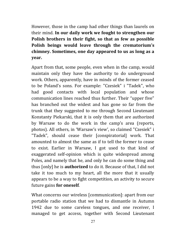However, those in the camp had other things than laurels on their mind. **In our daily work we fought to strengthen our Polish brothers in their fight, so that as few as possible Polish beings would leave through the crematorium's chimney. Sometimes, one day appeared to us as long as a year.**

Apart from that, some people, even when in the camp, would maintain only they have the authority to do underground work. Others, apparently, have in minds of the former ceased to be Poland's sons. For example: "Czesiek" i "Tadek", who had good contacts with local population and whose communication lines reached thus further. Their "upper five" has branched out the widest and has gone so far from the trunk that they suggested to me through Second Lieutenant Konstanty Piekarski, that it is only them that are authorized by Warsaw to do the work in the camp's area (reports, photos). All others, in 'Warsaw's view', so claimed "Czesiek" i "Tadek", should cease their [conspiratorial] work. That amounted to almost the same as if to tell the former to cease to exist. Earlier in Warsaw, I got used to that kind of exaggerated self-opinion which is quite widespread among Poles, and namely that he, and only he can do some thing and thus [only] he is **authorized** to do it. Because of that, I did not take it too much to my heart, all the more that it usually appears to be a way to fight competition, an activity to secure future gains **for oneself**.

What concerns our wireless [communication]: apart from our portable radio station that we had to dismantle in Autumn 1942 due to some careless tongues, and one receiver, I managed to get access, together with Second Lieutenant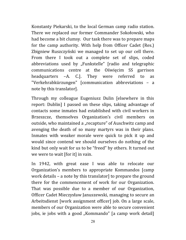Konstanty Piekarski, to the local German camp radio station. There we replaced our former Commander Sokołowski, who had become a bit clumsy. Our task there was to prepare maps for the camp authority. With help from Officer Cadet (Res.) Zbigniew Ruszczyński we managed to set up our cell there. From there I took out a complete set of slips, coded abbreviations used by "Funkstelle" [radio and telegraphic communications centre at the Oświęcim SS garrison headquarters –A. C.]. They were referred to as "Verkehrabkürzungen" [communication abbreviations – a note by this translator].

Through my colleague Eugeniusz Dulin [elsewhere in this report: Dublin] I passed on these slips, taking advantage of contacts some inmates had established with civil workers in Brzeszcze, themselves Organization's civil members on outside, who maintained a "recapture" of Auschwitz camp and avenging the death of so many martyrs was in their plans. Inmates with weaker morale were quick to pick it up and would since contend we should ourselves do nothing of the kind but only wait for us to be "freed" by others. It turned out we were to wait [for it] in vain.

In 1942, with great ease I was able to relocate our Organization's members to appropriate Kommandos [camp work details – a note by this translator] to prepare the ground there for the commencement of work for our Organization. That was possible due to a member of our Organization, Officer Cadet Mieczysław Januszewski, managing to secure an Arbeitsdienst [work assignment officer] job. On a large scale, members of our Organization were able to secure convenient jobs, ie jobs with a good "Kommando" [a camp work detail]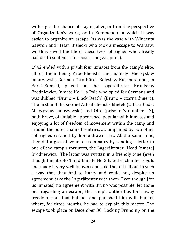with a greater chance of staying alive, or from the perspective of Organization's work, or in Kommando in which it was easier to organize an escape (as was the case with Wincenty Gawron and Stefan Bielecki who took a message to Warsaw; we thus saved the life of these two colleagues who already had death sentences for possessing weapons).

1942 ended with a prank four inmates from the camp's elite, all of them being Arbeitdiensts, and namely Mieczysław Januszewski, German Otto Küsel, Bolesław Kuczbara and Jan Baraś-Komski, played on the Lagerältester Bronisław Brodniewicz, Inmate No 1, a Pole who spied for Germans and was dubbed "Bruno – Black Death" (Bruno – czarna śmierć). The first and the second Arbeitsdienst - Mietek (Officer Cadet Mieczysław Januszewski) and Otto (prisoner's number - 2), both brave, of amiable appearance, popular with inmates and enjoying a lot of freedom of movement within the camp and around the outer chain of sentries, accompanied by two other colleagues escaped by horse-drawn cart. At the same time, they did a great favour to us inmates by sending a letter to one of the camp's torturers, the Lagerältester [Head Inmate] Brodniewicz. The letter was written in a friendly tone (even though Inmate No 1 and Inmate No 2 hated each other's guts and made it very well known) and said that all fell out in such a way that they had to hurry and could not, despite an agreement, take the Lagerältester with them. Even though [for us inmates] no agreement with Bruno was possible, let alone one regarding an escape, the camp's authorities took away freedom from that butcher and punished him with bunker where, for three months, he had to explain this matter. The escape took place on December 30. Locking Bruno up on the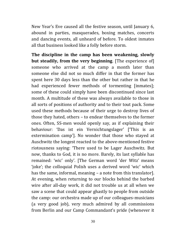New Year's Eve caused all the festive season, until January 6, abound in parties, masquerades, boxing matches, concerts and dancing events, all unheard of before. To oldest inmates all that business looked like a folly before storm.

**The discipline in the camp has been weakening, slowly but steadily, from the very beginning**. [The experience of] someone who arrived at the camp a month later than someone else did not so much differ in that the former has spent here 30 days less than the other but rather in that he had experienced fewer methods of tormenting [inmates]; some of these could simply have been discontinued since last month. A multitude of these was always available to those in all sorts of positions of authority and to their tout pack. Some used these methods because of their urge to destroy lives of those they hated, others – to endear themselves to the former ones. Often, SS-men would openly say, as if explaining their behaviour: 'Das ist ein Vernichtungslager' ['This is an extermination camp']. No wonder that those who stayed at Auschwitz the longest reacted to the above-mentioned festive riotousness saying: 'There used to be Lager Auschwitz. But now, thanks to God, it is no more. Barely, its last syllable has remained: 'wic' only'. [The German word 'der Witz' means 'joke'; the colloquial Polish uses a derived word 'wic' which has the same, informal, meaning – a note from this translator]. At evening, when returning to our blocks behind the barbed wire after all-day work, it did not trouble us at all when we saw a scene that could appear ghastly to people from outside the camp: our orchestra made up of our colleagues-musicians (a very good job), very much admired by all commissions from Berlin and our Camp Commandant's pride (whenever it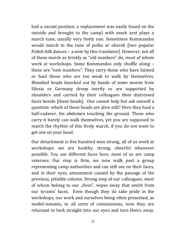had a vacant position, a replacement was easily found on the outside and brought to the camp) with much zest plays a march tune, usually very lively one. Sometimes Kommandos would march to the tune of polka or oberek [two popular Polish folk dances – a note by this translator]. However, not all of these march as briskly as "old numbers" do, most of whom work at workshops. Some Kommandos only shuffle along – these are "new numbers". They carry those who have fainted or haul those who are too weak to walk by themselves. Bloodied heads knocked out by hands of some moron from Silesia or Germany droop inertly or are supported by shoulders and carried by their colleagues their distressed faces beside [these heads]. One cannot help but ask oneself a question: which of these heads are alive still? Here they haul a half-cadaver, his abdomen touching the ground. Those who carry it barely can walk themselves, yet you are supposed to match the rhythm of this lively march, if you do not want to get one on your head.

Our detachment is five hundred men strong, all of us work at workshops: we are healthy, strong, cheerful whenever possible. You see different faces here, most of us are camp veterans. Our step is firm, we now walk past a group representing camp authorities and can still see on their faces, and in their eyes, amusement caused by the passage of the previous, pitiable column. Strong step of our colleagues, most of whom belong to our "fives", wipes away that smirk from our tyrants' faces. Even though they do take pride in the workshops, our work and ourselves being often presented, as model-inmates, to all sorts of commissions, now they are reluctant to look straight into our eyes and turn theirs away.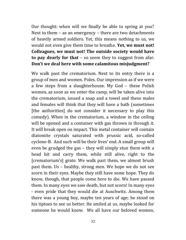Our thought: when will we finally be able to spring at you? Next to them – as an emergency – there are two detachments of heavily armed soldiers. Yet, this means nothing to us, we would not even give them time to breathe. **Yet, we must not! Colleagues, we must not! The outside society would have to pay dearly for that** – so seem they to suggest from afar. **Don't we deal here with some calamitous misjudgment?**

We walk past the crematorium. Next to its entry there is a group of men and women. Poles. Our impression as if we were a few steps from a slaughterhouse. My God – these Polish women, as soon as we enter the camp, will be taken alive into the crematorium, issued a soap and a towel and these males and females will think that they will have a bath (sometimes [the authorities] do not consider it necessary to play this comedy). When in the crematorium, a window in the ceiling will be opened and a container with gas thrown in through it. It will break open on impact. This metal container will contain diatomite crystals saturated with prussic acid, so-called cyclone-B. And such will be their lives' end. A small group will even be grudged the gas – they will simply stun them with a head hit and carry them, while still alive, right to the [crematorium's] grate. We walk past them, we almost brush past them. Us – healthy, strong men. We hope we do not see scorn in their eyes. Maybe they still have some hope. They do know, though, that people come here to die. We have passed them. In many eyes we saw death, but not scorn! In many eyes - even pride that they would die at Auschwitz. Among them there was a young boy, maybe ten years of age; he stood on his tiptoes to see us better. He smiled at us, maybe looked for someone he would know. We all have our beloved women,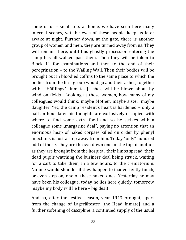some of us - small tots at home, we have seen here many infernal scenes, yet the eyes of these people keep us later awake at night. Further down, at the gate, there is another group of women and men: they are turned away from us. They will remain there, until this ghastly procession entering the camp has all walked past them. Then they will be taken to Block 11 for examinations and then to the end of their peregrination – to the Wailing Wall. Then their bodies will be brought out in bloodied coffins to the same place to which the bodies from the first group would go and their ashes, together with "Häftlings" [inmates'] ashes, will be blown about by wind on fields. Looking at these women, how many of my colleagues would think: maybe Mother, maybe sister, maybe daughter. Yet, the camp resident's heart is hardened – only a half an hour later his thoughts are exclusively occupied with where to find some extra food and so he strikes with a colleague some "margarine deal", paying no attention that an enormous heap of naked corpses killed on order by phenyl injections is just a step away from him. Today "only" hundred odd of those. They are thrown down one on the top of another as they are brought from the hospital, their limbs spread, their dead pupils watching the business deal being struck, waiting for a cart to take them, in a few hours, to the crematorium. No-one would shudder if they happen to inadvertently touch, or even step on, one of these naked ones. Yesterday he may have been his colleague, today he lies here quietly, tomorrow maybe my body will lie here – big deal!

And so, after the festive season, year 1943 brought, apart from the change of Lagerältester [the Head Inmate] and a further softening of discipline, a continued supply of the usual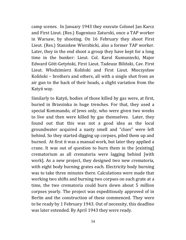camp scenes. In January 1943 they execute Colonel Jan Karcz and First Lieut. (Res.) Eugeniusz Zaturski, once a TAP worker in Warsaw, by shooting. On 16 February they shoot First Lieut. (Res.) Stanisław Wierzbicki, also a former TAP worker. Later, they in the end shoot a group they have kept for a long time in the bunker: Lieut. Col. Karol Kumuniecki, Major Edward Gött-Getyński, First Lieut. Tadeusz Biliński, Cav. First Lieut. Włodzimierz Koliński and First Lieut. Mieczysław Koliński – brothers and others, all with a single shot from an air gun to the back of their heads, a slight variation from the Katyń way.

Similarly to Katyń, bodies of those killed by gas were, at first, buried in Brzezinka in huge trenches. For that, they used a special Kommando, of Jews only, who were given two weeks to live and then were killed by gas themselves. Later, they found out that this was not a good idea as the local groundwater acquired a nasty smell and "clues" were left behind. So they started digging up corpses, piled them up and burned. At first it was a manual work, but later they applied a crane. It was out of question to burn them in the [existing] crematorium as all crematoria were lagging behind [with work]. As a new project, they designed two new crematoria, with eight body burning grates each. Electricity body burning was to take three minutes there. Calculations were made that working two shifts and burning two corpses on each grate at a time, the two crematoria could burn down about 5 million corpses yearly. The project was expeditiously approved of in Berlin and the construction of these commenced. They were to be ready by 1 February 1943. Out of necessity, this deadline was later extended. By April 1943 they were ready.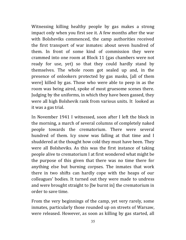Witnessing killing healthy people by gas makes a strong impact only when you first see it. A few months after the war with Bolsheviks commenced, the camp authorities received the first transport of war inmates: about seven hundred of them. In front of some kind of commission they were crammed into one room at Block 11 (gas chambers were not ready for use, yet) so that they could hardly stand by themselves. The whole room got sealed up and, in the presence of onlookers protected by gas masks, [all of them were] killed by gas. Those who were able to peep in as the room was being aired, spoke of most gruesome scenes there. Judging by the uniforms, in which they have been gassed, they were all high Bolshevik rank from various units. It looked as it was a gas trial.

In November 1941 I witnessed, soon after I left the block in the morning, a march of several columns of completely naked people towards the crematorium. There were several hundred of them. Icy snow was falling at that time and I shuddered at the thought how cold they must have been. They were all Bolsheviks. As this was the first instance of taking people alive to crematorium I at first wondered what might be the purpose of this given that there was no time there for anything else but burning corpses. The inmates that work there in two shifts can hardly cope with the heaps of our colleagues' bodies. It turned out they were made to undress and were brought straight to [be burnt in] the crematorium in order to save time.

From the very beginnings of the camp, yet very rarely, some inmates, particularly those rounded up on streets of Warsaw, were released. However, as soon as killing by gas started, all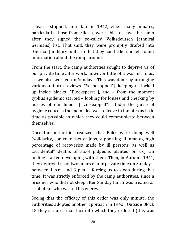releases stopped, until late in 1942, when many inmates, particularly those from Silesia, were able to leave the camp after they signed the so-called Volksdeutsch [ethnical Germans] list. That said, they were promptly drafted into [German] military units, so that they had little time left to put information about the camp around.

From the start, the camp authorities sought to deprive us of our private time after work, however little of it was left to us, as we also worked on Sundays. This was done by arranging various uniform reviews ["Sachenappell"], keeping us locked up inside blocks ["Blocksperre"], and – from the moment typhus epidemic started – looking for louses and checking by nurses of our linen ["Läuseappell"]. Under the guise of hygiene concern the main idea was to leave to inmates as little time as possible in which they could communicate between themselves.

Once the authorities realized, that Poles were doing well (solidarity, control of better jobs, supporting ill inmates, high percentage of recoveries made by ill persons, as well as "accidental" deaths of stool pidgeons planted on us), an inkling started developing with them. Then, in Autumn 1941, they deprived us of two hours of our private time on Sunday – between 1 p.m. and 3 p.m. – forcing us to sleep during that time. It was strictly enforced by the camp authorities, since a prisoner who did not sleep after Sunday lunch was treated as a saboteur who wasted his energy.

Seeing that the efficacy of this order was only minute, the authorities adopted another approach in 1942. Outside Block 15 they set up a mail box into which they ordered (this was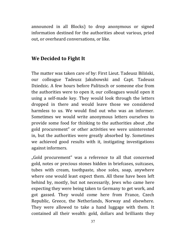announced in all Blocks) to drop anonymous or signed information destined for the authorities about various, pried out, or overheard conversations, or like.

## **We Decided to Fight It**

The matter was taken care of by: First Lieut. Tadeusz Biliński, our colleague Tadeusz Jakubowski and Capt. Tadeusz Dziedzic. A few hours before Palitzsch or someone else from the authorities were to open it, our colleagues would open it using a self-made key. They would look through the letters dropped in there and would leave those we considered harmless to us. We would find out who was an informer. Sometimes we would write anonymous letters ourselves to provide some food for thinking to the authorities about "the gold procurement" or other activities we were uninterested in, but the authorities were greatly absorbed by. Sometimes we achieved good results with it, instigating investigations against informers.

"Gold procurement" was a reference to all that concerned gold, notes or precious stones hidden in briefcases, suitcases, tubes with cream, toothpaste, shoe soles, soap, anywhere where one would least expect them. All these have been left behind by, mostly, but not necessarily, Jews who came here expecting they were being taken to Germany to get work, and got gassed. They would come here from France, Czech Republic, Greece, the Netherlands, Norway and elsewhere. They were allowed to take a hand luggage with them. It contained all their wealth: gold, dollars and brilliants they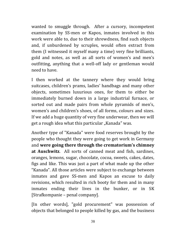wanted to smuggle through. After a cursory, incompetent examination by SS-men or Kapos, inmates involved in this work were able to, due to their shrewdness, find such objects and, if unburdened by scruples, would often extract from them (I witnessed it myself many a time) very fine brilliants, gold and notes, as well as all sorts of women's and men's outfitting, anything that a well-off lady or gentleman would need to have.

I then worked at the tannery where they would bring suitcases, children's prams, ladies' handbags and many other objects, sometimes luxurious ones, for them to either be immediately burned down in a large industrial furnace, or sorted out and made pairs from whole pyramids of men's, women's and children's shoes, of all forms, colours and sizes. If we add a huge quantity of very fine underwear, then we will get a rough idea what this particular "Kanada" was.

Another type of "Kanada" were food reserves brought by the people who thought they were going to get work in Germany and **were going there through the crematorium's chimney at Auschwitz**. All sorts of canned meat and fish, sardines, oranges, lemons, sugar, chocolate, cocoa, sweets, cakes, dates, figs and like. This was just a part of what made up the other "Kanada". All those articles were subject to exchange between inmates and gave SS-men and Kapos an excuse to daily revisions, which resulted in rich booty for them and in many inmates ending their lives in the bunker, or in SK [Strafkompanie – penal company].

[In other words], "gold procurement" was possession of objects that belonged to people killed by gas, and the business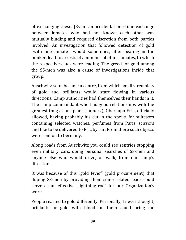of exchanging these. [Even] an accidental one-time exchange between inmates who had not known each other was mutually binding and required discretion from both parties involved. An investigation that followed detection of gold [with one inmate], would sometimes, after beating in the bunker, lead to arrests of a number of other inmates, to which the respective clues were leading. The greed for gold among the SS-men was also a cause of investigations inside that group.

Auschwitz soon became a centre, from which small streamlets of gold and brilliants would start flowing in various directions. Camp authorities had themselves their hands in it. The camp commandant who had good relationships with the greatest thug at our plant (tannery), Oberkapo Erik, officially allowed, having probably his cut in the spoils, for suitcases containing selected watches, perfumes from Paris, scissors and like to be delivered to Eric by car. From there such objects were sent on to Germany.

Along roads from Auschwitz you could see sentries stopping even military cars, doing personal searches of SS-men and anyone else who would drive, or walk, from our camp's direction.

It was because of this "gold fever" (gold procurement) that duping SS-men by providing them some related leads could serve as an effective "lightning-rod" for our Organization's work.

People reacted to gold differently. Personally, I never thought, brilliants or gold with blood on them could bring me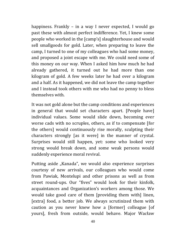happiness. Frankly – in a way I never expected, I would go past these with almost perfect indifference. Yet, I knew some people who worked in the [camp's] slaughterhouse and would sell smallgoods for gold. Later, when preparing to leave the camp, I turned to one of my colleagues who had some money, and proposed a joint escape with me. We could need some of this money on our way. When I asked him how much he had already gathered, it turned out he had more than one kilogram of gold. A few weeks later he had over a kilogram and a half. As it happened, we did not leave the camp together and I instead took others with me who had no penny to bless themselves with.

It was not gold alone but the camp conditions and experiences in general that would set characters apart. [People have] individual values. Some would slide down, becoming ever worse cads with no scruples, others, as if to compensate [for the others] would continuously rise morally, sculpting their characters strongly [as it were] in the manner of crystal. Surprises would still happen, yet: some who looked very strong would break down, and some weak persons would suddenly experience moral revival.

Putting aside "Kanada", we would also experience surprises courtesy of new arrivals, our colleagues who would come from Pawiak, Montelupi and other prisons as well as from street round-ups. Our "fives" would look for their kinfolk, acquaintances and Organization's workers among those. We would take good care of them [providing them with] linen, [extra] food, a better job. We always scrutinized them with caution as you never knew how a [former] colleague [of yours], fresh from outside, would behave. Major Wacław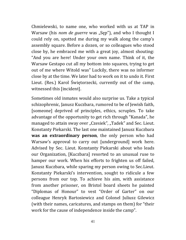Chmielewski, to name one, who worked with us at TAP in Warsaw (his *nom de guerre* was "Sep"), and who I thought I could rely on, spotted me during my walk along the camp's assembly square. Before a dozen, or so colleagues who stood close by, he embraced me with a great joy, almost shouting: "And you are here! Under your own name. Think of it, the Warsaw Gestapo cut all my bottom into squares, trying to get out of me where Witold was" Luckily, there was no informer close by at the time. We later had to work on it to undo it. First Lieut. (Res.) Karol Świętorzecki, currently out of the camp, witnessed this [incident].

Sometimes old inmates would also surprise us. Take a typical schizophrenic, Janusz Kuczbara, rumored to be of Jewish faith, [someone] deprived of principles, ethics, scruples. To take advantage of the opportunity to get rich through "Kanada", he managed to attain sway over "Czesiek", "Tadek" and Sec. Lieut. Konstanty Piekarski. The last one maintained Janusz Kuczbara **was an extraordinary person**, the only person who had Warsaw's approval to carry out [underground] work here. Advised by Sec. Lieut. Konstanty Piekarski about who leads our Organization, [Kuczbara] resorted to an unusual ruse to hamper our work. When his efforts to frighten us off failed, Janusz Kuczbara, while sparing my person owing to Sec.Lieut. Konstanty Piekarski's intervention, sought to ridicule a few persons from our top. To achieve his aim, with assistance from another prisoner, on Bristol board sheets he painted "Diplomas of Honour" to vest "Order of Garter" on our colleague Henryk Bartosiewicz and Colonel Juliusz Gilewicz (with their names, caricatures, and stamps on them) for "their work for the cause of independence inside the camp".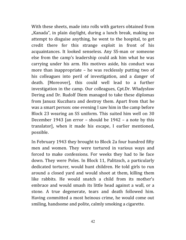With these sheets, made into rolls with garters obtained from "Kanada", in plain daylight, during a lunch break, making no attempt to disguise anything, he went to the hospital, to get credit there for this strange exploit in front of his acquaintances. It looked senseless. Any SS-man or someone else from the camp's leadership could ask him what he was carrying under his arm. His motives aside, his conduct was more than inappropriate – he was recklessly putting two of his colleagues into peril of investigation, and a danger of death. [Moreover], this could well lead to a further investigation in the camp. Our colleagues, Cpt.Dr. Władysław Dering and Dr. Rudolf Diem managed to take these diplomas from Janusz Kuczbara and destroy them. Apart from that he was a smart person: one evening I saw him in the camp before Block 23 wearing an SS uniform. This suited him well on 30 December 1943 [an error – should be 1942 – a note by this translator], when it made his escape, I earlier mentioned, possible.

In February 1943 they brought to Block 2a four hundred fifty men and women. They were tortured in various ways and forced to make confessions. For weeks they had to lie face down. They were Poles. In Block 11, Palitzsch, a particularly dedicated torturer, would hunt children. He told girls to run around a closed yard and would shoot at them, killing them like rabbits. He would snatch a child from its mother's embrace and would smash its little head against a wall, or a stone. A true degenerate, tears and death followed him. Having committed a most heinous crime, he would come out smiling, handsome and polite, calmly smoking a cigarette.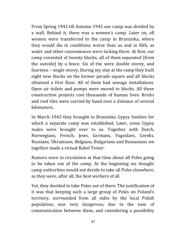From Spring 1942 till Autumn 1942 our camp was divided by a wall. Behind it, there was a women's camp. Later on, all women were transferred to the camp in Brzezinka, where they would die in conditions worse than us and in filth, as water and other conveniences were lacking there. At first, our camp consisted of twenty blocks, all of them separated [from the outside] by a fence. Six of the were double storey, and fourteen – single storey, During my stay at the camp they built eight new blocks on the former parade square and all blocks obtained a first floor. All of them had sewage installations. Open air toilets and pumps were moved to blocks. All these construction projects cost thousands of human lives. Bricks and roof tiles were carried by hand over a distance of several kilometers.

In March 1943 they brought to Brzezinka Gypsy families for which a separate camp was established. Later, some Gypsy males were brought over to us. Together with Dutch, Norwegians, French, Jews, Germans, Yugoslavs, Greeks, Russians, Ukrainians, Belgians, Bulgarians and Rumanians we together made a virtual Babel Tower.

Rumors were in circulation at that time about all Poles going to be taken out of the camp. At the beginning we thought camp authorities would not decide to take all Poles elsewhere, as they were, after all, the best workers of all.

Yet, they decided to take Poles out of there. The justification of it was that keeping such a large group of Poles on Poland's territory, surrounded from all sides by the local Polish population, was very dangerous, due to the ease of communication between them, and considering a possibility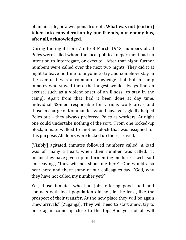of an air ride, or a weapons drop-off. **What was not [earlier] taken into consideration by our friends, our enemy has, after all, acknowledged.**

During the night from 7 into 8 March 1943, numbers of all Poles were called whom the local political department had no intention to interrogate, or execute. After that night, further numbers were called over the next two nights. They did it at night to leave no time to anyone to try and somehow stay in the camp. It was a common knowledge that Polish camp inmates who stayed there the longest would always find an excuse, such as a violent onset of an illness [to stay in the camp]. Apart from that, had it been done at day time, individual SS-men responsible for various work areas and those in charge of Kommandos would have very gladly helped Poles out – they always preferred Poles as workers. At night one could undertake nothing of the sort. From one locked-up block, inmate walked to another block that was assigned for this purpose. All doors were locked up there, as well.

[Visibly] agitated, inmates followed numbers called. A load was off many a heart, when their number was called: "it means they have given up on tormenting me here". "well, so I am leaving", "they will not shoot me here". One would also hear here and there some of our colleagues say: "God, why they have not called my number yet?"

Yet, those inmates who had jobs offering good food and contacts with local population did not, in the least, like the prospect of their transfer. At the new place they will be again ", new arrivals" [Zugangs]. They will need to start anew, try to once again come up close to the top. And yet not all will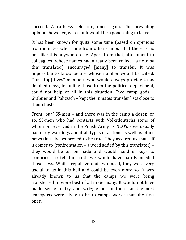succeed. A ruthless selection, once again. The prevailing opinion, however, was that it would be a good thing to leave.

It has been known for quite some time (based on opinions from inmates who came from other camps) that there is no hell like this anywhere else. Apart from that, attachment to colleagues [whose names had already been called – a note by this translator] encouraged [many] to transfer. It was impossible to know before whose number would be called. Our "[top] fives" members who would always provide to us detailed news, including those from the political department, could not help at all in this situation. Two camp gods – Grabner and Palitzsch – kept the inmates transfer lists close to their chests.

From "our" SS-men – and there was in the camp a dozen, or so, SS-men who had contacts with Volksdeutschs some of whom once served in the Polish Army as NCO's - we usually had early warnings about all types of actions as well as other news that always proved to be true. They assured us that – if it comes to [confrontation – a word added by this translator] – they would be on our side and would hand in keys to armories. To tell the truth we would have hardly needed those keys. Whilst repulsive and two-faced, they were very useful to us in this hell and could be even more so. It was already known to us that the camps we were being transferred to were best of all in Germany. It would not have made sense to try and wriggle out of these, as the next transports were likely to be to camps worse than the first ones.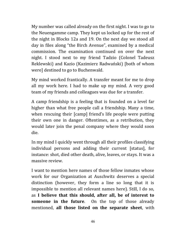My number was called already on the first night. I was to go to the Neuengamme camp. They kept us locked up for the rest of the night in Blocks 12a and 19. On the next day we stood all day in files along "the Birch Avenue", examined by a medical commission. The examination continued on over the next night. I stood next to my friend Tadzio (Colonel Tadeusz Reklewski) and Kazio (Kazimierz Radwański) [both of whom were] destined to go to Buchenwald.

My mind worked frantically. A transfer meant for me to drop all my work here. I had to make up my mind. A very good team of my friends and colleagues was due for a transfer.

A camp friendship is a feeling that is founded on a level far higher than what free people call a friendship. Many a time, when rescuing their [camp] friend's life people were putting their own one in danger. Oftentimes, as a retribution, they would later join the penal company where they would soon die.

In my mind I quickly went through all their profiles classifying individual persons and adding their current [status], for instance: shot, died other death, alive, leaves, or stays. It was a massive review.

I want to mention here names of those fellow inmates whose work for our Organization at Auschwitz deserves a special distinction (however, they form a line so long that it is impossible to mention all relevant names here). Still, I do so, as **I believe that this should, after all, be of interest to someone in the future**. On the top of those already mentioned, **all those listed on the separate sheet**, with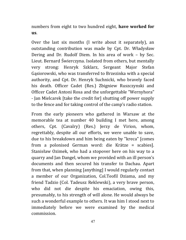numbers from eight to two hundred eight, **have worked for us**.

Over the last six months (I write about it separately), an outstanding contribution was made by Cpt. Dr. Władysław Dering and Dr. Rudolf Diem. In his area of work – by Sec. Lieut. Bernard Świerczyna. Isolated from others, but mentally very strong: Henryk Szklarz, Sergeant Major Stefan Gąsiorowski, who was transferred to Brzezinka with a special authority, and Cpt. Dr. Henryk Suchnicki, who bravely faced his death. Officer Cadet (Res.) Zbigniew Ruszczynski and Officer Cadet Antoni Rosa and the unforgettable "Wernyhora" - Jan Mielcarek [take the credit for] shutting off power supply to the fence and for taking control of the camp's radio station.

From the early pioneers who gathered in Warsaw at the memorable tea at number 40 building I met here, among others, Cpt. (Cavalry) (Res.) Jerzy de Virion, whom, regrettably, despite all our efforts, we were unable to save, due to his breakdown and him being eaten by "kreca" [comes from a polonised German word: die Krätze = scabies]. Stanisław Ozimek, who had a stopover here on his way to a quarry and Jan Dangel, whom we provided with an ill person's documents and then secured his transfer to Dachau. Apart from that, when planning [anything] I would regularly contact a member of our Organization, Col.Teofil Dziama, and my friend Tadzio (Col. Tadeusz Reklewski), a very brave person, who did not die despite his emaciation, owing this, presumably, to his strength of will alone. He would always be such a wonderful example to others. It was him I stood next to immediately before we were examined by the medical commission.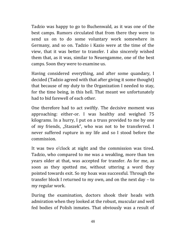Tadzio was happy to go to Buchenwald, as it was one of the best camps. Rumors circulated that from there they were to send us on to do some voluntary work somewhere in Germany, and so on. Tadzio i Kazio were at the time of the view, that it was better to transfer. I also sincerely wished them that, as it was, similar to Neuengamme, one of the best camps. Soon they were to examine us.

Having considered everything, and after some quandary, I decided (Tadzio agreed with that after giving it some thought) that because of my duty to the Organization I needed to stay, for the time being, in this hell. That meant we unfortunately had to bid farewell of each other.

One therefore had to act swiftly. The decisive moment was approaching: either-or. I was healthy and weighed 75 kilograms. In a hurry, I put on a truss provided to me by one of my friends, "Staszek", who was not to be transferred. I never suffered rupture in my life and so I stood before the commission.

It was two o'clock at night and the commission was tired. Tadzio, who compared to me was a weakling, more than ten years older at that, was accepted for transfer. As for me, as soon as they spotted me, without uttering a word they pointed towards exit. So my hoax was successful. Through the transfer block I returned to my own, and on the next day – to my regular work.

During the examination, doctors shook their heads with admiration when they looked at the robust, muscular and well fed bodies of Polish inmates. That obviously was a result of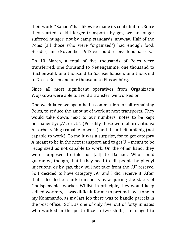their work. "Kanada" has likewise made its contribution. Since they started to kill larger transports by gas, we no longer suffered hunger, not by camp standards, anyway. Half of the Poles (all those who were "organized") had enough food. Besides, since November 1942 we could receive food parcels.

On 10 March, a total of five thousands of Poles were transferred: one thousand to Neuengamme, one thousand to Buchenwald, one thousand to Sachsenhausen, one thousand to Gross-Rosen and one thousand to Flossenbürg.

Since all most significant operatives from Organizacja Wojskowa were able to avoid a transfer, we worked on.

One week later we again had a commission for all remaining Poles, to reduce the amount of work at next transports. They would take down, next to our numbers, notes to be kept permanently: " $A$ ", or "U". (Possibly these were abbreviations: A - **a**rbeitsfähig (capable to work) and U – arbeits**u**nfähig (not capable to work). To me it was a surprise, for to get category A meant to be in the next transport, and to get U – meant to be recognized as not capable to work. On the other hand, they were supposed to take us [all] to Dachau. Who could guarantee, though, that if they need to kill people by phenyl injections, or by gas, they will not take from the  $\sqrt{U}$  reserve. So I decided to have category  $<sub>n</sub>A''$  and I did receive it. After</sub> that I decided to shirk transports by acquiring the status of "indispensible" worker. Whilst, in principle, they would keep skilled workers, it was difficult for me to pretend I was one in my Kommando, as my last job there was to handle parcels in the post office. Still, as one of only five, out of forty inmates who worked in the post office in two shifts, I managed to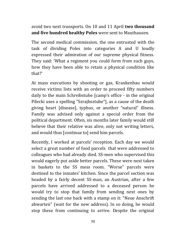avoid two next transports. On 10 and 11 April **two thousand and five hundred healthy Poles** were sent to Mauthausen.

The second medical commission, the one entrusted with the task of dividing Poles into categories A and U loudly expressed their admiration of our supreme physical fitness. They said: 'What a regiment you could form from such guys, how they have been able to retain a physical condition like that?'

At mass executions by shooting or gas, Krankenbau would receive victims lists with an order to proceed fifty numbers daily to the main Schreibstube [camp's office - in the original Pilecki uses a spelling "Szrajbsztube"], as a cause of the death giving heart [disease], typhus, or another "natural" illness. Family was advised only against a special order from the political department. Often, six months later family would still believe that their relative was alive, only not writing letters, and would thus [continue to] send him parcels.

Recently, I worked at parcels' reception. Each day we would select a great number of food parcels that were addressed to colleagues who had already died. SS-men who supervised this would eagerly put aside better parcels. These were next taken in baskets to the SS mess room. "Worse" parcels were destined to the inmates' kitchen. Since the parcel section was headed by a fairly decent SS-man, an Austrian, after a few parcels have arrived addressed to a deceased person he would try to stop that family from sending next ones by sending the last one back with a stamp on it: "Neue Anschrift abwarten" (wait for the new address). In so doing, he would stop these from continuing to arrive. Despite the original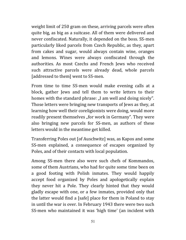weight limit of 250 gram on these, arriving parcels were often quite big, as big as a suitcase. All of them were delivered and never confiscated. Naturally, it depended on the boss. SS-men particularly liked parcels from Czech Republic, as they, apart from cakes and sugar, would always contain wine, oranges and lemons. Wines were always confiscated through the authorities. As most Czechs and French Jews who received such attractive parcels were already dead, whole parcels [addressed to them] went to SS-men.

From time to time SS-men would make evening calls at a block, gather Jews and tell them to write letters to their homes with the standard phrase: "I am well and doing nicely". Those letters were bringing new transports of Jews as they, at learning how well their coreligionists were doing, would more readily present themselves "for work in Germany". They were also bringing new parcels for SS-men, as authors of these letters would in the meantime get killed.

Transferring Poles out [of Auschwitz] was, as Kapos and some SS-men explained, a consequence of escapes organized by Poles, and of their contacts with local population.

Among SS-men there also were such chefs of Kommandos, some of them Austrians, who had for quite some time been on a good footing with Polish inmates. They would happily accept food organized by Poles and apologetically explain they never hit a Pole. They clearly hinted that they would gladly escape with one, or a few inmates, provided only that the latter would find a [safe] place for them in Poland to stay in until the war is over. In February 1943 there were two such SS-men who maintained it was 'high time' (an incident with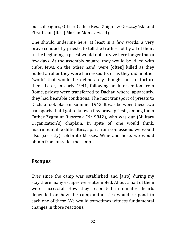our colleagues, Officer Cadet (Res.) Zbigniew Goszczyński and First Lieut. (Res.) Marian Moniczewski).

One should underline here, at least in a few words, a very brave conduct by priests, to tell the truth – not by all of them. In the beginning, a priest would not survive here longer than a few days. At the assembly square, they would be killed with clubs. Jews, on the other hand, were [often] killed as they pulled a roller they were harnessed to, or as they did another "work" that would be deliberately thought out to torture them. Later, in early 1941, following an intervention from Rome, priests were transferred to Dachau where, apparently, they had bearable conditions. The next transport of priests to Dachau took place in summer 1942. It was between these two transports that I got to know a few brave priests, among them Father Zygmunt Ruszczak (Nr 9842), who was our (Military Organization's) chaplain. In spite of, one would think, insurmountable difficulties, apart from confessions we would also (secretly) celebrate Masses. Wine and hosts we would obtain from outside [the camp].

## **Escapes**

Ever since the camp was established and [also] during my stay there many escapes were attempted. About a half of them were successful. How they resonated in inmates' hearts depended on how the camp authorities would respond to each one of these. We would sometimes witness fundamental changes in those reactions.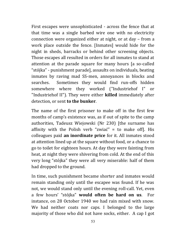First escapes were unsophisticated - across the fence that at that time was a single barbed wire one with no electricity connection were organized either at night, or at day – from a work place outside the fence. [Inmates] would hide for the night in sheds, barracks or behind other screening objects. Those escapes all resulted in orders for all inmates to stand at attention at the parade square for many hours [a so-called "stójka" - punishment parade], assaults on individuals, beating inmates by raving mad SS-men, annoyances in blocks and searches. Sometimes they would find run-offs hidden somewhere where they worked ("Industriehof I" or "Industriehof II"). They were either **killed** immediately after detection, or sent **to the bunker**.

The name of the first prisoner to make off in the first few months of camp's existence was, as if out of spite to the camp authorities, Tadeusz Wiejowski (Nr 230) [the surname has affinity with the Polish verb "zwiać" = to make off]. His colleagues paid **an inordinate price** for it. All inmates stood at attention lined up at the square without food, or a chance to go to toilet for eighteen hours. At day they were fainting from heat, at night they were shivering from cold. At the end of this very long "stójka" they were all very miserable: half of them had dropped to the ground.

In time, such punishment became shorter and inmates would remain standing only until the escapee was found. If he was not, we would stand only until the evening roll-call. Yet, even a few hours' "stójka" **would often be hard on us**. For instance, on 28 October 1940 we had rain mixed with snow. We had neither coats nor caps. I belonged to the large majority of those who did not have socks, either. A cap I got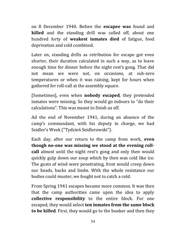on 8 December 1940. Before the **escapee was** found and **killed** and the standing drill was called off, about one hundred forty of **weakest inmates died** of fatigue, food deprivation and cold combined.

Later on, standing drills as retribution for escape got even shorter, their duration calculated in such a way, as to leave enough time for dinner before the night rest's gong. That did not mean we were not, on occasions, at sub-zero temperatures or when it was raining, kept for hours when gathered for roll-call at the assembly square.

[Sometimes], even when **nobody escaped**, they pretended inmates were missing. So they would go indoors to "do their calculations". This was meant to finish us off.

Ad the end of November 1941, during an absence of the camp's commandant, with his deputy in charge, we had Seidler's Week ("Tydzień Seidlerowski").

Each day, after our return to the camp from work, **even though no-one was missing we stood at the evening rollcall** almost until the night rest's gong and only then would quickly gulp down our soup which by then was cold like ice. The gusts of wind were penetrating, frost would creep down our heads, backs and limbs. With the whole resistance our bodies could muster, we fought not to catch a cold.

From Spring 1941 escapes became more common. It was then that the camp authorities came upon the idea to apply **collective responsibility** to the entire block. For one escaped, they would select **ten inmates from the same block to be killed**. First, they would go to the bunker and then they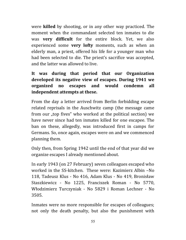were **killed** by shooting, or in any other way practiced. The moment when the commandant selected ten inmates to die was **very difficult** for the entire block. Yet, we also experienced some **very lofty** moments, such as when an elderly man, a priest, offered his life for a younger man who had been selected to die. The priest's sacrifice was accepted, and the latter was allowed to live.

## **It was during that period that our Organization developed its negative view of escapes. During 1941 we organized no escapes and would condemn all independent attempts at these.**

From the day a letter arrived from Berlin forbidding escape related reprisals in the Auschwitz camp (the message came from our "top fives" who worked at the political section) we have never since had ten inmates killed for one escapee. The ban on these, allegedly, was introduced first in camps for Germans. So, once again, escapes were on and we commenced planning them.

Only then, from Spring 1942 until the end of that year did we organize escapes I already mentioned about.

In early 1943 (on 27 February) seven colleagues escaped who worked in the SS-kitchen. These were: Kazimierz Albin –No 118, Tadeusz Klus - No 416, Adam Klus - No 419, Bronisław Staszkiewicz - No 1225, Franciszek Roman - No 5770, Włodzimierz Turczyniak - No 5829 i Roman Lechner - No 3505.

Inmates were no more responsible for escapes of colleagues; not only the death penalty, but also the punishment with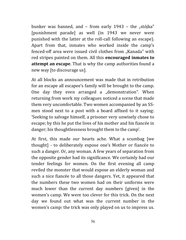bunker was banned, and  $-$  from early 1943  $-$  the "stójka" [punishment parade] as well (in 1943 we never were punished with the latter at the roll-call following an escape). Apart from that, inmates who worked inside the camp's fenced-off area were issued civil clothes from "Kanada" with red stripes painted on them. All this **encouraged inmates to attempt an escape**. That is why the camp authorities found a new way [to discourage us].

At all blocks an announcement was made that in retribution for an escape all escapee's family will be brought to the camp. One day they even arranged a "demonstration". When returning from work my colleagues noticed a scene that made them very uncomfortable. Two women accompanied by an SSmen stood next to a post with a board affixed to it saying: 'Seeking to salvage himself, a prisoner very unwisely chose to escape; by this he put the lives of his mother and his fiancée in danger; his thoughtlessness brought them to the camp'.

At first, this made our hearts ache. What a scumbag [we thought] - to deliberately expose one's Mother or fiancée to such a danger. Or, any woman. A few years of separation from the opposite gender had its significance. We certainly had our tender feelings for women. On the first evening all camp reviled the monster that would expose an elderly woman and such a nice fiancée to all those dangers. Yet, it appeared that the numbers these two women had on their uniforms were much lower than the current day numbers [given] in the women's camp. We were too clever for this trick. On the next day we found out what was the current number in the women's camp: the trick was only played on us to impress us.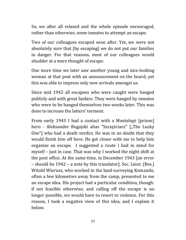So, we after all relaxed and the whole episode encouraged, rather than otherwise, some inmates to attempt an escape.

Two of our colleagues escaped soon after. Yet, we were not absolutely sure that [by escaping] we do not put our families in danger. For that reasons, most of our colleagues would shudder at a mere thought of escape.

One more time we later saw another young and nice-looking woman at that post with an announcement on the board, yet this was able to impress only new arrivals amongst us.

Since mid 1942 all escapees who were caught were hanged publicly and with great fanfare. They were hanged by inmates who were to be hanged themselves two weeks later. This was done to increase the latters' torment.

From early 1943 I had a contact with a Montelupi [prison] hero - Aleksander Bugajski alias "Szczęściarz" ["The Lucky One"] who had a death verdict. He was in no doubt that they would finish him off here. He got closer with me to help him organize an escape. I suggested a route I had in mind for myself – just in case. That was why I worked the night shift at the post office. At the same time, in December 1943 [an error – should be 1942 – a note by this translator]. Sec. Lieut. (Res.) Witold Wierusz, who worked in the land-surveying Komando, often a few kilometres away from the camp, presented to me an escape idea. His project had a particular condition, though: if not feasible otherwise, and calling off the escape is no longer possible, we would have to resort to violence. For this reason, I took a negative view of this idea, and I explain it below.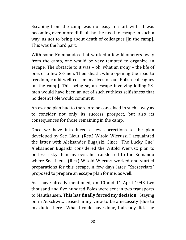Escaping from the camp was not easy to start with. It was becoming even more difficult by the need to escape in such a way, as not to bring about death of colleagues [in the camp]. This was the hard part.

With some Kommandos that worked a few kilometers away from the camp, one would be very tempted to organize an escape. The obstacle to it was – oh, what an irony – the life of one, or a few SS-men. Their death, while opening the road to freedom, could well cost many lives of our Polish colleagues [at the camp]. This being so, an escape involving killing SSmen would have been an act of such ruthless selfishness that no decent Pole would commit it.

An escape plan had to therefore be conceived in such a way as to consider not only its success prospect, but also its consequences for those remaining in the camp.

Once we have introduced a few corrections to the plan developed by Sec. Lieut. (Res.) Witold Wierusz, I acquainted the latter with Aleksander Bugajski. Since "The Lucky One" Aleksander Bugajski considered the Witold Wierusz plan to be less risky than my own, he transferred to the Komando where Sec. Lieut. (Res.) Witold Wierusz worked and started preparations for this escape. A few days later, "Szczęściarz" proposed to prepare an escape plan for me, as well.

As I have already mentioned, on 10 and 11 April 1943 two thousand and five hundred Poles were sent in two transports to Mauthausen. **This has finally forced my decision.** Staying on in Auschwitz ceased in my view to be a necessity [due to my duties here]. What I could have done, I already did. The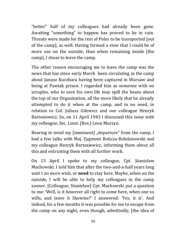"better" half of my colleagues had already been gone. Awaiting "something" to happen has proved to be in vain. Threats were made for the rest of Poles to be transported [out of the camp], as well. Having formed a view that I could be of more use on the outside, than when remaining inside [the camp], I chose to leave the camp.

The other reason encouraging me to leave the camp was the news that has since early March been circulating in the camp about Janusz Kuczbara having been captured in Warsaw and being at Pawiak prison. I regarded him as someone with no scruples, who to save his own life may spill the beans about the top of our Organization, all the more likely that he already attempted to do it when at the camp, and in no need, in relation to Col. Juliusz Gilewicz and our colleague Henryk Bartosiewicz. So, on 11 April 1943 I discussed this issue with my colleague, Sec. Lieut. (Res.) Leon Murzyn.

Bearing in mind my [imminent] "departure" from the camp, I had a few talks with Maj. Zygmunt Bończa-Bohdanowski and my colleague Henryk Bartosiewicz, informing them about all this and entrusting them with all further work.

On 13 April I spoke to my colleague, Cpt. Stanisław Machowski. I told him that after the two-and-a-half years long wait I no more wish, or **need** to stay here. Maybe, when on the outside, I will be able to help my colleagues in the camp sooner. [Colleague; Stanisław] Cpt. Machowski put a question to me: 'Well, is it however all right to come here, when one so wills, and leave it likewise?' I answered: 'Yes, it is'. And indeed, for a few months it was possible for me to escape from the camp on any night, even though, admittedly, [the idea of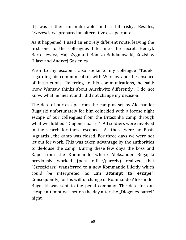it] was rather uncomfortable and a bit risky. Besides, "Szczęściarz" prepared an alternative escape route.

As it happened, I used an entirely different route, leaving the first one to the colleagues I let into the secret: Henryk Bartosiewicz, Maj. Zygmunt Bończa-Bohdanowski, Zdzisław Uliasz and Andrzej Gąsienica.

Prior to my escape I also spoke to my colleague "Tadek" regarding his communication with Warsaw and the absence of instructions. Referring to his communications, he said: "now Warsaw thinks about Auschwitz differently". I do not know what he meant and I did not change my decision.

The date of our escape from the camp as set by Aleksander Bugajski unfortunately for him coincided with a jocose night escape of our colleagues from the Brzezinka camp through what we dubbed "Diogenes barrel". All soldiers were involved in the search for these escapees. As there were no Posts [=guards], the camp was closed. For three days we were not let out for work. This was taken advantage by the authorities to de-louse the camp. During these few days the boss and Kapo from the Kommando where Aleksander Bugajski previously worked (post office/parcels) realized that "Szczęściarz" transferred to a new Kommando illicitly which could be interpreted as **"an attempt to escape"**. Consequently, for his willful change of Kommando Aleksander Bugajski was sent to the penal company. The date for our escape attempt was set on the day after the "Diogenes barrel" night.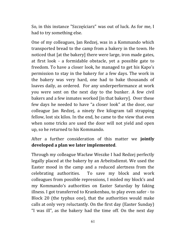So, in this instance "Szczęściarz" was out of luck. As for me, I had to try something else.

One of my colleagues, Jan Redzej, was in a Kommando which transported bread to the camp from a bakery in the town. He noticed that [at the bakery] there were large, iron made gates, at first look - a formidable obstacle, yet a possible gate to freedom. To have a closer look, he managed to get his Kapo's permission to stay in the bakery for a few days. The work in the bakery was very hard, one had to bake thousands of loaves daily, as ordered. For any underperformance at work you were sent on the next day to the bunker. A few civil bakers and a few inmates worked [in that bakery]. Over these few days he needed to have "a closer look" at the door, our colleague Jan Redzej, a ninety five kilogram tall strapping fellow, lost six kilos. In the end, he came to the view that even when some tricks are used the door will not yield and open up, so he returned to his Kommando.

## After a further consideration of this matter we **jointly developed a plan we later implemented**.

Through my colleague Wacław Weszke I had Redzej perfectly legally placed at the bakery by an Arbeitsdienst. We used the Easter mood in the camp and a reduced alertness from the celebrating authorities. To save my block and work colleagues from possible repressions, I misled my block's and my Kommando's authorities on Easter Saturday by faking illness. I got transferred to Krankenbau, to play even safer - to Block 20 (the typhus one), that the authorities would make calls at only very reluctantly. On the first day (Easter Sunday) "I was ill", as the bakery had the time off. On the next day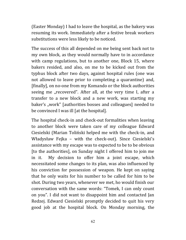(Easter Monday) I had to leave the hospital, as the bakery was resuming its work. Immediately after a festive break workers substitutions were less likely to be noticed.

The success of this all depended on me being sent back not to my own block, as they would normally have to in accordance with camp regulations, but to another one, Block 15, where bakers resided, and also, on me to be kicked out from the typhus block after two days, against hospital rules (one was not allowed to leave prior to completing a quarantine) and, [finally], on no-one from my Komando or the block authorities seeing me "recovered". After all, at the very time I, after a transfer to a new block and a new work, was starting my baker's "work" [authorities bosses and colleagues] needed to be convinced I was ill [at the hospital].

The hospital check-in and check-out formalities when leaving to another block were taken care of my colleague Edward Ciesielski (Marian Toliński helped me with the check-in, and Władysław Fejka – with the check-out). Since Ciesielski's assistance with my escape was to expected to be to be obvious [to the authorities], on Sunday night I offered him to join me in it. My decision to offer him a joint escape, which necessitated some changes to its plan, was also influenced by his conviction for possession of weapon. He kept on saying that he only waits for his number to be called for him to be shot. During two years, whenever we met, ho would finish our conversation with the same words: "Tomek, I can only count on you". I did not want to disappoint him and contacted Jan Redzej. Edward Ciesielski promptly decided to quit his very good job at the hospital block. On Monday morning, the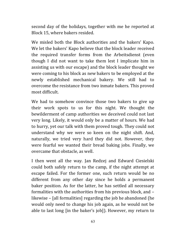second day of the holidays, together with me he reported at Block 15, where bakers resided.

We misled both the Block authorities and the bakers' Kapo. We let the bakers' Kapo believe that the block leader received the required transfer forms from the Arbeitsdienst (even though I did not want to take them lest I implicate him in assisting us with our escape) and the block leader thought we were coming to his block as new bakers to be employed at the newly established mechanical bakery. We still had to overcome the resistance from two inmate bakers. This proved most difficult.

We had to somehow convince those two bakers to give up their work spots to us for this night. We thought the bewilderment of camp authorities we deceived could not last very long. Likely, it would only be a matter of hours. We had to hurry, yet our talk with them proved tough. They could not understand why we were so keen on the night shift. And, naturally, we tried very hard they did not. However, they were fearful we wanted their bread baking jobs. Finally, we overcame that obstacle, as well.

I then went all the way. Jan Redzej and Edward Ciesielski could both safely return to the camp, if the night attempt at escape failed. For the former one, such return would be no different from any other day since he holds a permanent baker position. As for the latter, he has settled all necessary formalities with the authorities from his previous block, and – likewise – [all formalities] regarding the job he abandoned (he would only need to change his job again, as he would not be able to last long [in the baker's job]). However, my return to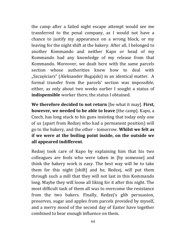the camp after a failed night escape attempt would see me transferred to the penal company, as I would not have a chance to justify my appearance on a wrong block, or my leaving for the night shift at the bakery. After all, I belonged to another Kommando and neither Kapo or head of my Kommando had any knowledge of my release from that Kommando. Moreover, we dealt here with the same parcels section whose authorities knew how to deal with "Szczęściarz" (Aleksander Bugajski) in an identical matter. A formal transfer from the parcels' section was impossible, either, as only about two weeks earlier I sought a status of **indispensible** worker there, the status I obtained.

**We therefore decided to not return** [be what it may]. **First, however, we needed to be able to leave** [the camp]. Kapo, a Czech, has long stuck to his guns insisting that today only one of us (apart from Redzej who had a permanent position) will go to the bakery, and the other - tomorrow. **Whilst we felt as if we were at the boiling point inside, on the outside we all appeared indifferent**.

Redzej took care of Kapo by explaining him that his two colleagues are fools who were taken in [by someone] and think the bakery work is easy. The best way will be to take them for this night [shift] and he, Redzej, will put them through such a mill that they will not last in this Kommando long. Maybe they will loose all liking for it after this night. The most difficult task of them all was to overcome the resistance from the two bakers. Finally, Redzej's glib persuasion, preserves, sugar and apples from parcels provided by myself, and a merry mood of the second day of Easter have together combined to bear enough influence on them.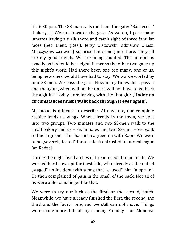It's 6.30 p.m. The SS-man calls out from the gate: "Bäckerei..." [bakery…]. We run towards the gate. As we do, I pass many inmates having a walk there and catch sight of three familiar faces (Sec. Lieut. (Res.). Jerzy Olszowski, Zdzisław Uliasz, Mieczysław ...rowiec) surprised at seeing me there. They all are my good friends. We are being counted. The number is exactly as it should be - eight. It means the other two gave up this night's work. Had there been one too many, one of us, being new ones, would have had to stay. We walk escorted by four SS-men. We pass the gate. How many times did I pass it and thought: "when will be the time I will not have to go back through it?" Today I am leaving with the thought: "**Under no circumstances must I walk back through it ever again**".

My mood is difficult to describe. At any rate, our complete resolve lends us wings. When already in the town, we split into two groups. Two inmates and two SS-men walk to the small bakery and us – six inmates and two SS-men – we walk to the large one. This has been agreed on with Kapo. We were to be "severely tested" there, a task entrusted to our colleague Jan Redzej.

During the night five batches of bread needed to be made. We worked hard – except for Ciesielski, who already at the outset "staged" an incident with a bag that "caused" him "a sprain". He then complained of pain in the small of the back. Not all of us were able to malinger like that.

We were to try our luck at the first, or the second, batch. Meanwhile, we have already finished the first, the second, the third and the fourth one, and we still can not move. Things were made more difficult by it being Monday – on Mondays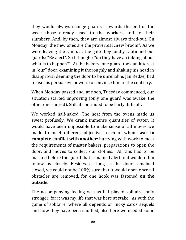they would always change guards. Towards the end of the week those already used to the workers and to their slumbers. And, by then, they are almost always tired-out. On Monday, the new ones are the proverbial "new broom". As we were leaving the camp, at the gate they loudly cautioned our guards: "Be alert". So I thought: "do they have an inkling about what is to happen?" At the bakery, one guard took an interest in "our" door, examining it thoroughly and shaking his head in disapproval deeming the door to be unreliable. Jan Redzej had to use his persuasive powers to convince him to the contrary.

When Monday passed and, at noon, Tuesday commenced, our situation started improving (only one guard was awake, the other one snored). Still, it continued to be fairly difficult.

We worked half-naked. The heat from the ovens made us sweat profusely. We drank immense quantities of water. It would have been impossible to make sense of all moves we made to meet different objectives each of whom **was in complete conflict with another**: hurrying with work to meet the requirements of master bakers, preparations to open the door, and moves to collect our clothes. All this had to be masked before the guard that remained alert and would often follow us closely. Besides, as long as the door remained closed, we could not be 100% sure that it would open once all obstacles are removed, for one hook was fastened **on the outside**.

The accompanying feeling was as if I played solitaire, only stronger, for it was my life that was here at stake. As with the game of solitaire, where all depends on lucky cards sequels and how they have been shuffled, also here we needed some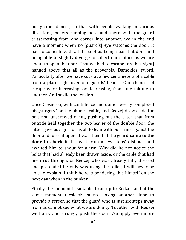lucky coincidences, so that with people walking in various directions, bakers running here and there with the guard crisscrossing from one corner into another, we in the end have a moment when no [guard's] eye watches the door. It had to coincide with all three of us being near that door and being able to slightly diverge to collect our clothes as we are about to open the door. That we had to escape [on that night] hanged above that all as the proverbial Damokles' sword. Particularly after we have cut out a few centimeters of a cable from a place right over our guards' heads. Our chances of escape were increasing, or decreasing, from one minute to another. And so did the tension.

Once Ciesielski, with confidence and quite cleverly completed his "surgery" on the phone's cable, and Redzej drew aside the bolt and unscrewed a nut, pushing out the catch that from outside held together the two leaves of the double door, the latter gave us signs for us all to lean with our arms against the door and force it open. It was then that the guard **came to the door to check it**. I saw it from a few steps' distance and awaited him to shout for alarm. Why did he not notice the bolts that had already been drawn aside, or the cable that had been cut through, or Redzej who was already fully dressed and pretended he only was using the toilet, I will never be able to explain. I think he was pondering this himself on the next day when in the bunker.

Finally the moment is suitable. I run up to Redzej, and at the same moment Ciesielski starts closing another door to provide a screen so that the guard who is just six steps away from us cannot see what we are doing. Together with Redzej we hurry and strongly push the door. We apply even more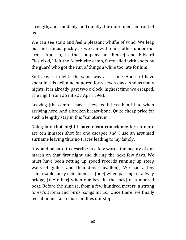strength, and, suddenly, and quietly, the door opens in front of us.

We can see stars and feel a pleasant whiffle of wind. We leap out and run as quickly as we can with our clothes under our arms. And so, in the company Jan Redzej and Edward Ciesielski, I left the Auschwitz camp, farewelled with shots by the guard who got the run of things a while too late for him.

So I leave at night. The same way as I came. And so I have spent in this hell nine hundred forty seven days. And as many nights. It is already past two o'clock, highest time we escaped. The night from 26 into 27 April 1943.

Leaving [the camp] I have a few teeth less than I had when arriving here. And a broken breast-bone. Quite cheap price for such a lengthy stay in this "sanatorium".

Going into **that night I have clean conscience** for no more are ten inmates shot for one escapee and I use an assumed surname leaving thus no traces leading to my family.

It would be hard to describe in a few words the beauty of our march on that first night and during the next few days. We must have been setting up speed records running up steep walls of gullies and then down headlong. We had a few remarkable lucky coincidences: [one] when passing a railway bridge, [the other] when our key fit [the lock] of a moored boat. Before the sunrise, from a few hundred meters, a strong forest's aroma and birds' songs hit us. Once there, we finally feel at home. Lush moss muffles our steps.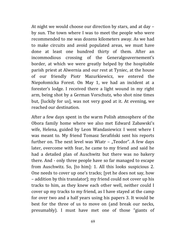At night we would choose our direction by stars, and at day – by sun. The town where I was to meet the people who were recommended to me was dozens kilometers away. As we had to make circuits and avoid populated areas, we must have done at least one hundred thirty of them. After an incommodious crossing of the Generalgouvernement's border, at which we were greatly helped by the hospitable parish priest at Alwernia and our rest at Tyniec, at the house of our friendly Piotr Mazurkiewicz, we entered the Niepołomicka Forest. On May 1, we had an incident at a forester's lodge. I received there a light wound in my right arm, being shot by a German Vorschutz, who shot nine times but, [luckily for us], was not very good at it. At evening, we reached our destination.

After a few days spent in the warm Polish atmosphere of the Obora family home where we also met Edward Zabawski's wife, Helena, guided by Leon Wandasiewicz I went where I was meant to. My friend Tomasz Serafiński sent his reports further on. The next level was Wiatr  $-$  "Teodor". A few days later, overcome with fear, he came to my friend and said he had a detailed plan of Auschwitz but there was no bakery there. And - only three people have so far managed to escape from Auschwitz. So, [to him]: 1. All this looks suspicious 2. One needs to cover up one's tracks; [yet he does not say, how – addition by this translator]; my friend could not cover up his tracks to him, as they knew each other well, neither could I cover up my tracks to my friend, as I have stayed at the camp for over two and a half years using his papers 3. It would be best for the three of us to move on (and break our necks, presumably). I must have met one of those "giants of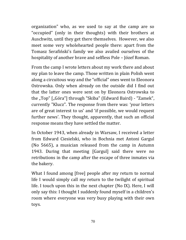organization" who, as we used to say at the camp are so "occupied" (only in their thoughts) with their brothers at Auschwitz, until they get there themselves. However, we also meet some very wholehearted people there: apart from the Tomasz Serafiński's family we also availed ourselves of the hospitality of another brave and selfless Pole – Józef Roman.

From the camp I wrote letters about my work there and about my plan to leave the camp. Those written in plain Polish went along a circuitous way and the "official" ones went to Eleonora Ostrowska. Only when already on the outside did I find out that the latter ones were sent on by Eleonora Ostrowska to the "Top" ["Góra"] through "Skiba" (Edward Baird) - "Zamek", currently "Klucz". The response from there was: 'your letters are of great interest to us' and 'if possible, we would request further news'. They thought, apparently, that such an official response means they have settled the matter.

In October 1943, when already in Warsaw, I received a letter from Edward Ciesielski, who in Bochnia met Antoni Gargul (No 5665), a musician released from the camp in Autumn 1943. During that meeting [Gargul] said there were no retributions in the camp after the escape of three inmates via the bakery.

What I found among [free] people after my return to normal life I would simply call my return to the twilight of spiritual life. I touch upon this in the next chapter (No IX). Here, I will only say this: I thought I suddenly found myself in a children's room where everyone was very busy playing with their own toys.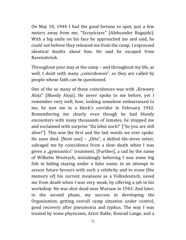On May 10, 1944 I had the good fortune to spot, just a few meters away from me, "Szczęściarz" (Aleksander Bugajski). With a big smile on his face he approached me and said, he could not believe they released me from the camp. I expressed identical doubts about him. He said he escaped from Ravensbrück.

Throughout your stay at the camp – and throughout my life, as well, I dealt with many "coincidences", as they are called by people whose faith can be questioned.

One of the so many of these coincidences was with "Krwawy Alojz" [Bloody Alojz]. He never spoke to me before, yet I remember very well, how, looking somehow embarrassed to me, he met me in a block's corridor in February 1942. Remembering me clearly even though he had bloody encounters with many thousands of inmates, he stopped me and exclaimed with surprise "Du lebst noch!" ["So you are still alive!"]. This was the first and the last words we ever spoke. He soon died. [Next one] – "Otto", a skilled tile-stove setter, salvaged me by coincidence from a slow death when I was given a "gymnastics" treatment. [Further], a cad by the name of Wilhelm Westrych, mistakingly believing I was some big fish in hiding staying under a false name, in an attempt to secure future favours with such a celebrity and to erase [the memory of] his current meanness as a Volksdeutsch, saved me from death when I was very weak, by offering a job in his workshop. He was shot dead near Warsaw in 1943. And later, in the second phase, my success in developing the Organization, getting overall camp situation under control, good recovery after pneumonia and typhus. The way I was treated by some physicians, Artur Balke, Konrad Lange, and a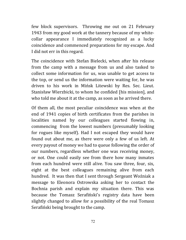few block supervisors. Throwing me out on 21 February 1943 from my good work at the tannery because of my whitecollar appearance I immediately recognized as a lucky coincidence and commenced preparations for my escape. And I did not err in this regard.

The coincidence with Stefan Bielecki, when after his release from the camp with a message from us and also tasked to collect some information for us, was unable to get access to the top, or send us the information were waiting for, he was driven to his work in Mińsk Litewski by Res. Sec. Lieut. Stanisław Wierzbicki, to whom he confided [his mission], and who told me about it at the camp, as soon as he arrived there.

Of them all, the most peculiar coincidence was when at the end of 1941 copies of birth certificates from the parishes in localities named by our colleagues started flowing in, commencing from the lowest numbers (presumably looking for rogues like myself). Had I not escaped they would have found out about me, as there were only a few of us left. At every payout of money we had to queue following the order of our numbers, regardless whether one was receiving money, or not. One could easily see from there how many inmates from each hundred were still alive. You saw three, four, six, eight at the best colleagues remaining alive from each hundred. It was then that I sent through Sergeant Woźniak a message to Eleonora Ostrowska asking her to contact the Bochnia parish and explain my situation there. This was because the Tomasz Serafiński's registry data have been slightly changed to allow for a possibility of the real Tomasz Serafiński being brought to the camp.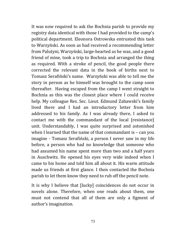It was now required to ask the Bochnia parish to provide my registry data identical with those I had provided to the camp's political department. Eleonora Ostrowska entrusted this task to Warzyński. As soon as had received a recommending letter from Palutyni, Warzyński, large-hearted as he was, and a good friend of mine, took a trip to Bochnia and arranged the thing as required. With a stroke of pencil, the good people there corrected the relevant data in the book of births next to Tomasz Serafiński's name. Warzyński was able to tell me the story in person as he himself was brought to the camp soon thereafter. Having escaped from the camp I went straight to Bochnia as this was the closest place where I could receive help. My colleague Res. Sec. Lieut. Edmund Zabawski's family lived there and I had an introductory letter from him addressed to his family. As I was already there, I asked to contact me with the commandant of the local [resistance] unit. Understandably, I was quite surprised and astonished when I learned that the name of that commandant is – can you imagine - Tomasz Serafiński, a person I never saw in my life before, a person who had no knowledge that someone who had assumed his name spent more than two and a half years in Auschwitz. He opened his eyes very wide indeed when I came to his home and told him all about it. His warm attitude made us friends at first glance. I then contacted the Bochnia parish to let them know they need to rub off the pencil note.

It is why I believe that [lucky] coincidences do not occur in novels alone. Therefore, when one reads about them, one must not contend that all of them are only a figment of author's imagination.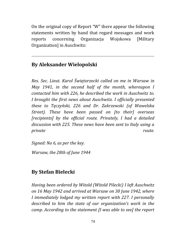On the original copy of Report "W" there appear the following statements written by hand that regard messages and work reports concerning Organizacja Wojskowa [Military Organization] in Auschwitz:

## **By Aleksander Wielopolski**

*Res. Sec. Lieut. Karol Świętorzecki called on me in Warsaw in May 1941, in the second half of the month, whereupon I contacted him with 226, he described the work in Auschwitz to. I brought the first news about Auschwitz. I officially presented these to Tęczyński, 226 and Dr. Zakrzewski (of Wawelska Street). These have been passed on [to their] overseas [recipients] by the official route. Privately, I had a detailed discussion with 225. These news have been sent to Italy using a private route.* 

*Signed: No 6, as per the key.* 

*Warsaw, the 28th of June 1944* 

## **By Stefan Bielecki**

*Having been ordered by Witold (Witold Pilecki) I left Auschwitz on 16 May 1942 and arrived at Warsaw on 30 June 1942, where I immediately lodged my written report with 227. I personally described to him the state of our organization's work in the camp. According to the statement [I was able to see] the report*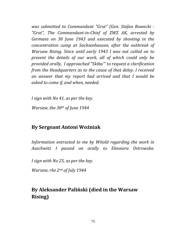*was submitted to Commandant "Grot" (Gen. Stefan Rowecki - "Grot", The Commandant-in-Chief of ZWZ AK, arrested by Germans on 30 June 1943 and executed by shooting in the concentration camp at Sachsenhausen, after the outbreak of Warsaw Rising. Since until early 1943 I was not called on to present the details of our work, all of which could only be provided orally, I approached "Skiba"' to request a clarification from the Headquarters as to the cause of that delay. I received an answer that my report had arrived and that I would be asked to come if, and when, needed.*

*I sign with No 41, as per the key.* 

*Warsaw, the 30th of June 1944*

### **By Sergeant Antoni Woźniak**

*Information entrusted to me by Witold regarding the work in Auschwitz I passed on orally to Eleonora Ostrowska.* 

*I sign with No 25, as per the key.*

*Warsaw, rhe 2nd of July 1944*

## **By Aleksander Paliński (died in the Warsaw Rising)**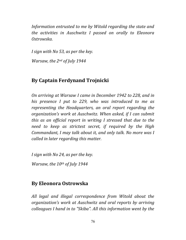*Information entrusted to me by Witold regarding the state and the activities in Auschwitz I passed on orally to Eleonora Ostrowska.* 

*I sign with No 53, as per the key.* 

*Warsaw, the 2nd of July 1944* 

## **By Captain Ferdynand Trojnicki**

*On arriving at Warsaw I came in December 1942 to 228, and in his presence I put to 229, who was introduced to me as representing the Headquarters, an oral report regarding the organization's work at Auschwitz. When asked, if I can submit this as an official report in writing I stressed that due to the need to keep as strictest secret, if required by the High Commandant, I may talk about it, and only talk. No more was I called in later regarding this matter.* 

*I sign with No 24, as per the key.* 

*Warsaw, the 10th of July 1944* 

## **By Eleonora Ostrowska**

*All legal and illegal correspondence from Witold about the organization's work at Auschwitz and oral reports by arriving colleagues I hand in to "Skiba". All this information went by the*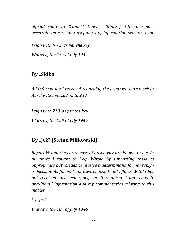*official route to "Zamek" (now - "Klucz"). Official replies ascertain interest and usefulness of information sent to them.* 

*I sign with No 5, as per the key. Warsaw, the 13th of July 1944* 

## **By "Skiba"**

*All information I received regarding the organization's work at Auschwitz I passed on to 230.*

*I sign with 218, as per the key.* 

*Warsaw, the 15th of July 1944* 

# **By "Jeż" (Stefan Miłkowski)**

*Report W and the entire case of Auschwitz are known to me. At all times I sought to help Witold by submitting these to appropriate authorities to receive a determinant, formal reply a decision. As far as I am aware, despite all efforts Witold has not received any such reply, yet. If required, I am ready to provide all information and my commentaries relating to this matter.* 

*(-) "Jeż"*

*Warsaw, the 18th of July 1944*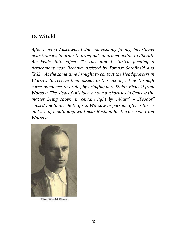### **By Witold**

*After leaving Auschwitz I did not visit my family, but stayed near Cracow, in order to bring out an armed action to liberate Auschwitz into effect. To this aim I started forming a detachment near Bochnia, assisted by Tomasz Serafiński and "232*". *At the same time I sought to contact the Headquarters in Warsaw to receive their assent to this action, either through correspondence, or orally, by bringing here Stefan Bielecki from Warsaw. The view of this idea by our authorities in Cracow the matter being shown in certain light by "Wiatr" – "Teodor" caused me to decide to go to Warsaw in person, after a threeand-a-half month long wait near Bochnia for the decision from Warsaw.*



Rtm. Witold Pilecki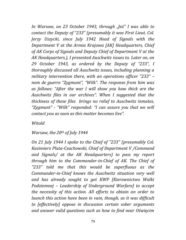*In Warsaw, on 23 October 1943, through "Jeż" I was able to contact the Deputy of "233" (presumably it was First Lieut. Col. Jerzy Uszycki, since July 1942 Head of Signals with the Department V at the Armia Krajowa [AK] Headquarters, Chief of AK Corps of Signals and Deputy Chief of Department V at the AK Headquarters.), I presented Auschwitz issues to. Later on, on 29 October 1943, as ordered by the Deputy of "233", I thoroughly discussed all Auschwitz issues, including planning a military intervention there, with an operations officer "233" – nom de guerre "Zygmunt", "Wilk". The response from him was as follows: "After the war I will show you how thick are the Auschwitz files in our archives". When I suggested that the thickness of these files brings no relief to Auschwitz inmates, "Zygmunt" - "Wilk" responded: "I can assure you that we will contact you as soon as this matter becomes live".* 

### *Witold*

### *Warsaw, the 20th of July 1944*

*On 21 July 1944 I spoke to the Chief of "233" (presumably Col. Kazimierz Pluta-Czachowski, Chief of Department V /Command and Signals/ at the AK Headquarters) to pass my report through him to the Commander-in-Chief of AK. The Chief of "233" told me that this would be superfluous as the Commander-in-Chief knows the Auschwitz situation very well and has already sought to get KWP [Kierownictwo Walki Podziemnej – Leadership of Underground Warfare] to accept the necessity of this action. All efforts to obtain an order to launch this action have been in vain, though, as it was difficult to [effectively] oppose in discussion certain sober arguments and answer valid questions such as how to find near Oświęcim*